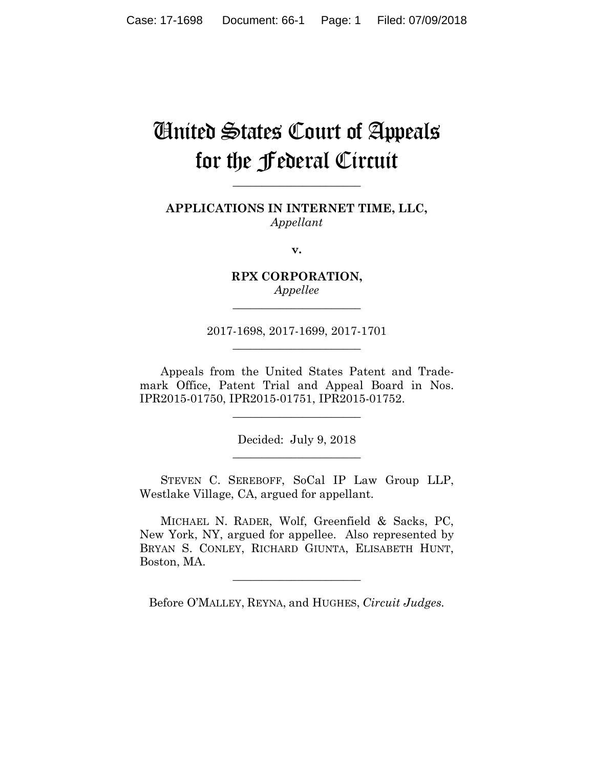# United States Court of Appeals for the Federal Circuit

**APPLICATIONS IN INTERNET TIME, LLC,** *Appellant*

**\_\_\_\_\_\_\_\_\_\_\_\_\_\_\_\_\_\_\_\_\_\_** 

**v.**

**RPX CORPORATION,** *Appellee*

**\_\_\_\_\_\_\_\_\_\_\_\_\_\_\_\_\_\_\_\_\_\_** 

2017-1698, 2017-1699, 2017-1701 **\_\_\_\_\_\_\_\_\_\_\_\_\_\_\_\_\_\_\_\_\_\_** 

Appeals from the United States Patent and Trademark Office, Patent Trial and Appeal Board in Nos. IPR2015-01750, IPR2015-01751, IPR2015-01752.

**\_\_\_\_\_\_\_\_\_\_\_\_\_\_\_\_\_\_\_\_\_\_** 

Decided: July 9, 2018 **\_\_\_\_\_\_\_\_\_\_\_\_\_\_\_\_\_\_\_\_\_\_** 

 STEVEN C. SEREBOFF, SoCal IP Law Group LLP, Westlake Village, CA, argued for appellant.

 MICHAEL N. RADER, Wolf, Greenfield & Sacks, PC, New York, NY, argued for appellee. Also represented by BRYAN S. CONLEY, RICHARD GIUNTA, ELISABETH HUNT, Boston, MA.

Before O'MALLEY, REYNA, and HUGHES, *Circuit Judges.*

**\_\_\_\_\_\_\_\_\_\_\_\_\_\_\_\_\_\_\_\_\_\_**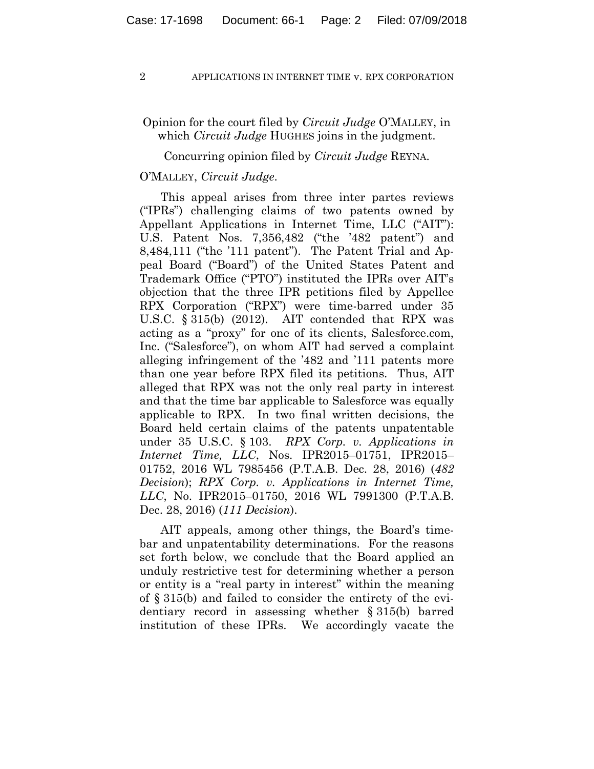# Opinion for the court filed by *Circuit Judge* O'MALLEY, in which *Circuit Judge* HUGHES joins in the judgment.

## Concurring opinion filed by *Circuit Judge* REYNA.

## O'MALLEY, *Circuit Judge*.

This appeal arises from three inter partes reviews ("IPRs") challenging claims of two patents owned by Appellant Applications in Internet Time, LLC ("AIT"): U.S. Patent Nos. 7,356,482 ("the '482 patent") and 8,484,111 ("the '111 patent"). The Patent Trial and Appeal Board ("Board") of the United States Patent and Trademark Office ("PTO") instituted the IPRs over AIT's objection that the three IPR petitions filed by Appellee RPX Corporation ("RPX") were time-barred under 35 U.S.C. § 315(b) (2012). AIT contended that RPX was acting as a "proxy" for one of its clients, Salesforce.com, Inc. ("Salesforce"), on whom AIT had served a complaint alleging infringement of the '482 and '111 patents more than one year before RPX filed its petitions. Thus, AIT alleged that RPX was not the only real party in interest and that the time bar applicable to Salesforce was equally applicable to RPX. In two final written decisions, the Board held certain claims of the patents unpatentable under 35 U.S.C. § 103. *RPX Corp. v. Applications in Internet Time, LLC*, Nos. IPR2015–01751, IPR2015– 01752, 2016 WL 7985456 (P.T.A.B. Dec. 28, 2016) (*482 Decision*); *RPX Corp. v. Applications in Internet Time, LLC*, No. IPR2015–01750, 2016 WL 7991300 (P.T.A.B. Dec. 28, 2016) (*111 Decision*).

AIT appeals, among other things, the Board's timebar and unpatentability determinations. For the reasons set forth below, we conclude that the Board applied an unduly restrictive test for determining whether a person or entity is a "real party in interest" within the meaning of § 315(b) and failed to consider the entirety of the evidentiary record in assessing whether § 315(b) barred institution of these IPRs. We accordingly vacate the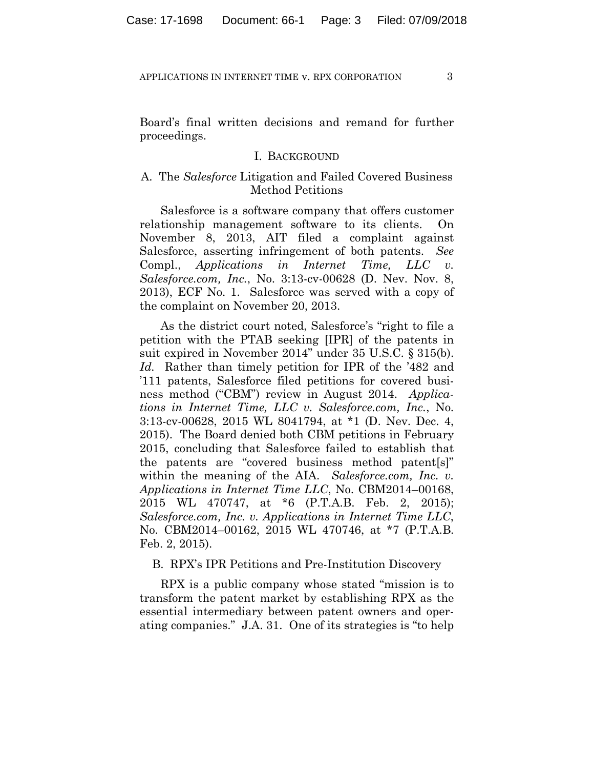Board's final written decisions and remand for further proceedings.

## I. BACKGROUND

# A. The *Salesforce* Litigation and Failed Covered Business Method Petitions

Salesforce is a software company that offers customer relationship management software to its clients. On November 8, 2013, AIT filed a complaint against Salesforce, asserting infringement of both patents. *See*  Compl., *Applications in Internet Time, LLC v. Salesforce.com, Inc.*, No. 3:13-cv-00628 (D. Nev. Nov. 8, 2013), ECF No. 1. Salesforce was served with a copy of the complaint on November 20, 2013.

As the district court noted, Salesforce's "right to file a petition with the PTAB seeking [IPR] of the patents in suit expired in November 2014" under 35 U.S.C. § 315(b). *Id.* Rather than timely petition for IPR of the '482 and '111 patents, Salesforce filed petitions for covered business method ("CBM") review in August 2014. *Applications in Internet Time, LLC v. Salesforce.com, Inc.*, No. 3:13-cv-00628, 2015 WL 8041794, at \*1 (D. Nev. Dec. 4, 2015). The Board denied both CBM petitions in February 2015, concluding that Salesforce failed to establish that the patents are "covered business method patent[s]" within the meaning of the AIA. *Salesforce.com, Inc. v. Applications in Internet Time LLC*, No. CBM2014–00168, 2015 WL 470747, at \*6 (P.T.A.B. Feb. 2, 2015); *Salesforce.com, Inc. v. Applications in Internet Time LLC*, No. CBM2014–00162, 2015 WL 470746, at \*7 (P.T.A.B. Feb. 2, 2015).

## B. RPX's IPR Petitions and Pre-Institution Discovery

RPX is a public company whose stated "mission is to transform the patent market by establishing RPX as the essential intermediary between patent owners and operating companies." J.A. 31. One of its strategies is "to help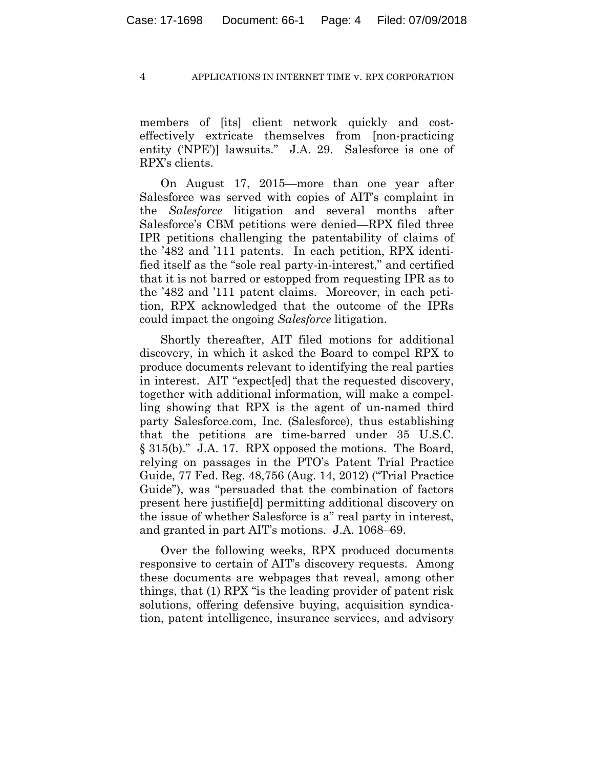members of [its] client network quickly and costeffectively extricate themselves from [non-practicing entity ('NPE')] lawsuits." J.A. 29. Salesforce is one of RPX's clients.

On August 17, 2015—more than one year after Salesforce was served with copies of AIT's complaint in the *Salesforce* litigation and several months after Salesforce's CBM petitions were denied—RPX filed three IPR petitions challenging the patentability of claims of the '482 and '111 patents.In each petition, RPX identified itself as the "sole real party-in-interest," and certified that it is not barred or estopped from requesting IPR as to the '482 and '111 patent claims. Moreover, in each petition, RPX acknowledged that the outcome of the IPRs could impact the ongoing *Salesforce* litigation.

Shortly thereafter, AIT filed motions for additional discovery, in which it asked the Board to compel RPX to produce documents relevant to identifying the real parties in interest. AIT "expect[ed] that the requested discovery, together with additional information, will make a compelling showing that RPX is the agent of un-named third party Salesforce.com, Inc. (Salesforce), thus establishing that the petitions are time-barred under 35 U.S.C. § 315(b)." J.A. 17. RPX opposed the motions. The Board, relying on passages in the PTO's Patent Trial Practice Guide, 77 Fed. Reg. 48,756 (Aug. 14, 2012) ("Trial Practice Guide"), was "persuaded that the combination of factors present here justifie[d] permitting additional discovery on the issue of whether Salesforce is a" real party in interest, and granted in part AIT's motions. J.A. 1068–69.

Over the following weeks, RPX produced documents responsive to certain of AIT's discovery requests. Among these documents are webpages that reveal, among other things, that (1) RPX "is the leading provider of patent risk solutions, offering defensive buying, acquisition syndication, patent intelligence, insurance services, and advisory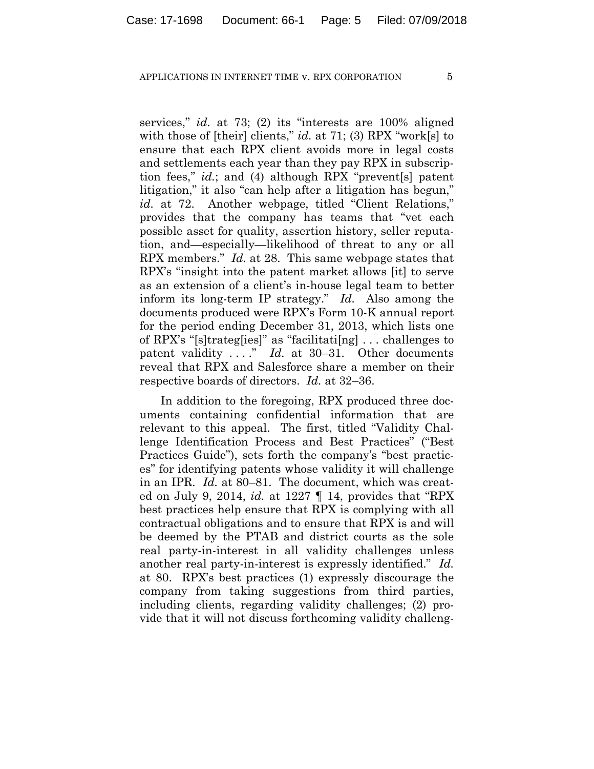services," *id.* at 73; (2) its "interests are 100% aligned with those of [their] clients," *id.* at 71; (3) RPX "work[s] to ensure that each RPX client avoids more in legal costs and settlements each year than they pay RPX in subscription fees," *id.*; and (4) although RPX "prevent[s] patent litigation," it also "can help after a litigation has begun," id. at 72. Another webpage, titled "Client Relations," provides that the company has teams that "vet each possible asset for quality, assertion history, seller reputation, and—especially—likelihood of threat to any or all RPX members." *Id.* at 28. This same webpage states that RPX's "insight into the patent market allows [it] to serve as an extension of a client's in-house legal team to better inform its long-term IP strategy." *Id.* Also among the documents produced were RPX's Form 10-K annual report for the period ending December 31, 2013, which lists one of RPX's "[s]trateg[ies]" as "facilitati[ng] . . . challenges to patent validity ...." *Id.* at 30–31. Other documents reveal that RPX and Salesforce share a member on their respective boards of directors. *Id.* at 32–36.

In addition to the foregoing, RPX produced three documents containing confidential information that are relevant to this appeal. The first, titled "Validity Challenge Identification Process and Best Practices" ("Best Practices Guide"), sets forth the company's "best practices" for identifying patents whose validity it will challenge in an IPR. *Id.* at 80–81. The document, which was created on July 9, 2014, *id.* at 1227 ¶ 14, provides that "RPX best practices help ensure that RPX is complying with all contractual obligations and to ensure that RPX is and will be deemed by the PTAB and district courts as the sole real party-in-interest in all validity challenges unless another real party-in-interest is expressly identified." *Id.* at 80. RPX's best practices (1) expressly discourage the company from taking suggestions from third parties, including clients, regarding validity challenges; (2) provide that it will not discuss forthcoming validity challeng-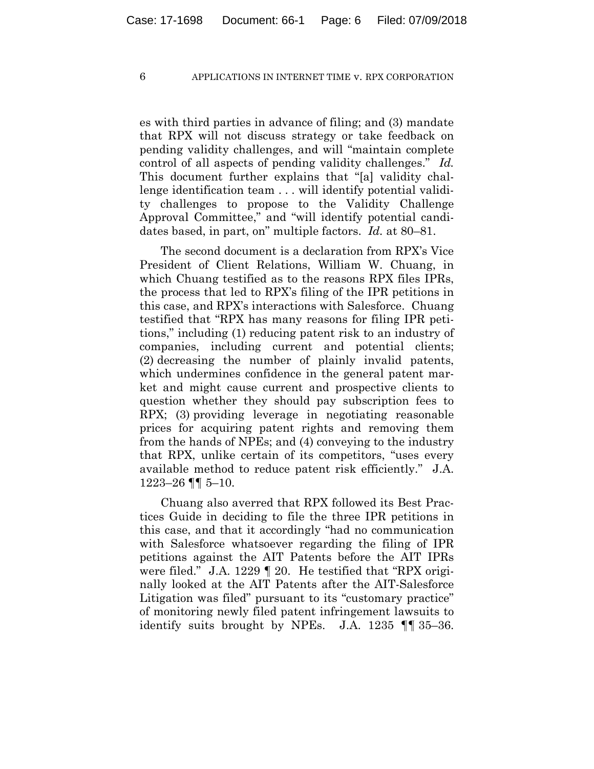es with third parties in advance of filing; and (3) mandate that RPX will not discuss strategy or take feedback on pending validity challenges, and will "maintain complete control of all aspects of pending validity challenges." *Id.* This document further explains that "[a] validity challenge identification team . . . will identify potential validity challenges to propose to the Validity Challenge Approval Committee," and "will identify potential candidates based, in part, on" multiple factors. *Id.* at 80–81.

The second document is a declaration from RPX's Vice President of Client Relations, William W. Chuang, in which Chuang testified as to the reasons RPX files IPRs, the process that led to RPX's filing of the IPR petitions in this case, and RPX's interactions with Salesforce. Chuang testified that "RPX has many reasons for filing IPR petitions," including (1) reducing patent risk to an industry of companies, including current and potential clients; (2) decreasing the number of plainly invalid patents, which undermines confidence in the general patent market and might cause current and prospective clients to question whether they should pay subscription fees to RPX; (3) providing leverage in negotiating reasonable prices for acquiring patent rights and removing them from the hands of NPEs; and (4) conveying to the industry that RPX, unlike certain of its competitors, "uses every available method to reduce patent risk efficiently." J.A. 1223–26 ¶¶ 5–10.

Chuang also averred that RPX followed its Best Practices Guide in deciding to file the three IPR petitions in this case, and that it accordingly "had no communication with Salesforce whatsoever regarding the filing of IPR petitions against the AIT Patents before the AIT IPRs were filed." J.A. 1229 ¶ 20. He testified that "RPX originally looked at the AIT Patents after the AIT-Salesforce Litigation was filed" pursuant to its "customary practice" of monitoring newly filed patent infringement lawsuits to identify suits brought by NPEs. J.A. 1235 ¶¶ 35–36.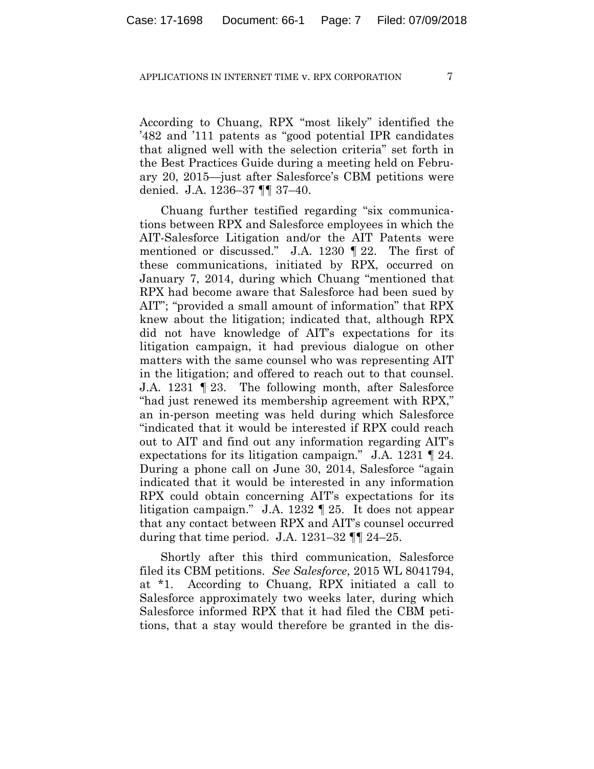According to Chuang, RPX "most likely" identified the '482 and '111 patents as "good potential IPR candidates that aligned well with the selection criteria" set forth in the Best Practices Guide during a meeting held on February 20, 2015—just after Salesforce's CBM petitions were denied. J.A. 1236–37 ¶¶ 37–40.

Chuang further testified regarding "six communications between RPX and Salesforce employees in which the AIT-Salesforce Litigation and/or the AIT Patents were mentioned or discussed." J.A. 1230 ¶ 22. The first of these communications, initiated by RPX, occurred on January 7, 2014, during which Chuang "mentioned that RPX had become aware that Salesforce had been sued by AIT"; "provided a small amount of information" that RPX knew about the litigation; indicated that, although RPX did not have knowledge of AIT's expectations for its litigation campaign, it had previous dialogue on other matters with the same counsel who was representing AIT in the litigation; and offered to reach out to that counsel. J.A. 1231 ¶ 23. The following month, after Salesforce "had just renewed its membership agreement with RPX," an in-person meeting was held during which Salesforce "indicated that it would be interested if RPX could reach out to AIT and find out any information regarding AIT's expectations for its litigation campaign." J.A. 1231 ¶ 24. During a phone call on June 30, 2014, Salesforce "again indicated that it would be interested in any information RPX could obtain concerning AIT's expectations for its litigation campaign." J.A. 1232 ¶ 25. It does not appear that any contact between RPX and AIT's counsel occurred during that time period. J.A.  $1231-32$   $\P$   $24-25$ .

Shortly after this third communication, Salesforce filed its CBM petitions. *See Salesforce*, 2015 WL 8041794, at \*1. According to Chuang, RPX initiated a call to Salesforce approximately two weeks later, during which Salesforce informed RPX that it had filed the CBM petitions, that a stay would therefore be granted in the dis-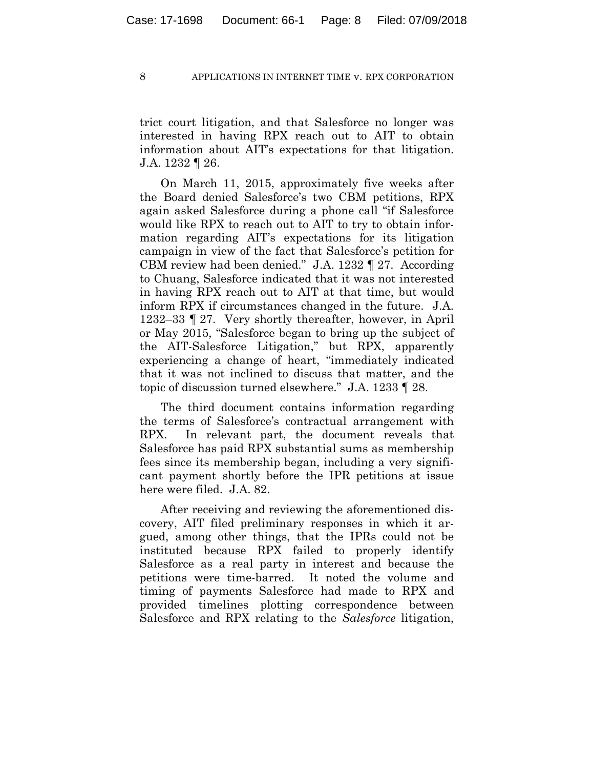trict court litigation, and that Salesforce no longer was interested in having RPX reach out to AIT to obtain information about AIT's expectations for that litigation. J.A. 1232 ¶ 26.

On March 11, 2015, approximately five weeks after the Board denied Salesforce's two CBM petitions, RPX again asked Salesforce during a phone call "if Salesforce would like RPX to reach out to AIT to try to obtain information regarding AIT's expectations for its litigation campaign in view of the fact that Salesforce's petition for CBM review had been denied." J.A. 1232 ¶ 27. According to Chuang, Salesforce indicated that it was not interested in having RPX reach out to AIT at that time, but would inform RPX if circumstances changed in the future. J.A. 1232–33 ¶ 27. Very shortly thereafter, however, in April or May 2015, "Salesforce began to bring up the subject of the AIT-Salesforce Litigation," but RPX, apparently experiencing a change of heart, "immediately indicated that it was not inclined to discuss that matter, and the topic of discussion turned elsewhere." J.A. 1233 ¶ 28.

The third document contains information regarding the terms of Salesforce's contractual arrangement with RPX. In relevant part, the document reveals that Salesforce has paid RPX substantial sums as membership fees since its membership began, including a very significant payment shortly before the IPR petitions at issue here were filed. J.A. 82.

After receiving and reviewing the aforementioned discovery, AIT filed preliminary responses in which it argued, among other things, that the IPRs could not be instituted because RPX failed to properly identify Salesforce as a real party in interest and because the petitions were time-barred.It noted the volume and timing of payments Salesforce had made to RPX and provided timelines plotting correspondence between Salesforce and RPX relating to the *Salesforce* litigation,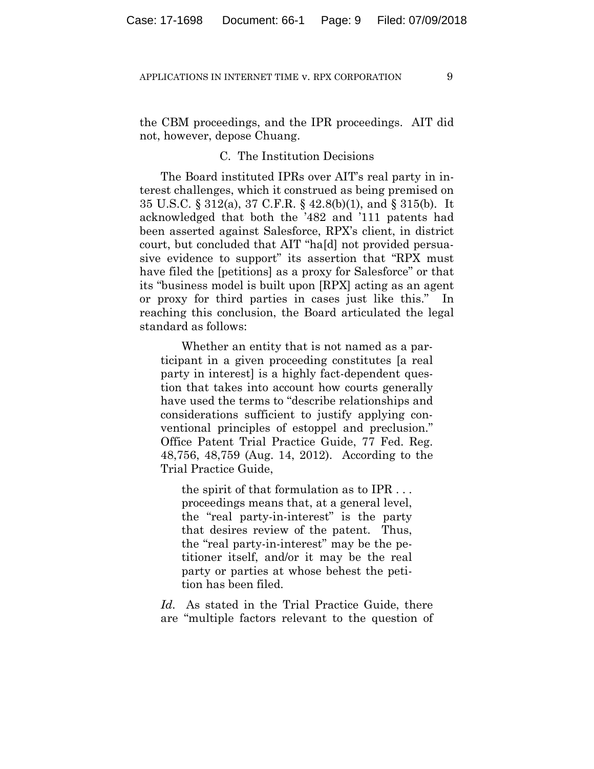the CBM proceedings, and the IPR proceedings. AIT did not, however, depose Chuang.

## C. The Institution Decisions

The Board instituted IPRs over AIT's real party in interest challenges, which it construed as being premised on 35 U.S.C. § 312(a), 37 C.F.R. § 42.8(b)(1), and § 315(b). It acknowledged that both the '482 and '111 patents had been asserted against Salesforce, RPX's client, in district court, but concluded that AIT "ha[d] not provided persuasive evidence to support" its assertion that "RPX must have filed the [petitions] as a proxy for Salesforce" or that its "business model is built upon [RPX] acting as an agent or proxy for third parties in cases just like this." In reaching this conclusion, the Board articulated the legal standard as follows:

Whether an entity that is not named as a participant in a given proceeding constitutes [a real party in interest] is a highly fact-dependent question that takes into account how courts generally have used the terms to "describe relationships and considerations sufficient to justify applying conventional principles of estoppel and preclusion." Office Patent Trial Practice Guide, 77 Fed. Reg. 48,756, 48,759 (Aug. 14, 2012). According to the Trial Practice Guide,

the spirit of that formulation as to IPR . . . proceedings means that, at a general level, the "real party-in-interest" is the party that desires review of the patent. Thus, the "real party-in-interest" may be the petitioner itself, and/or it may be the real party or parties at whose behest the petition has been filed.

*Id.* As stated in the Trial Practice Guide, there are "multiple factors relevant to the question of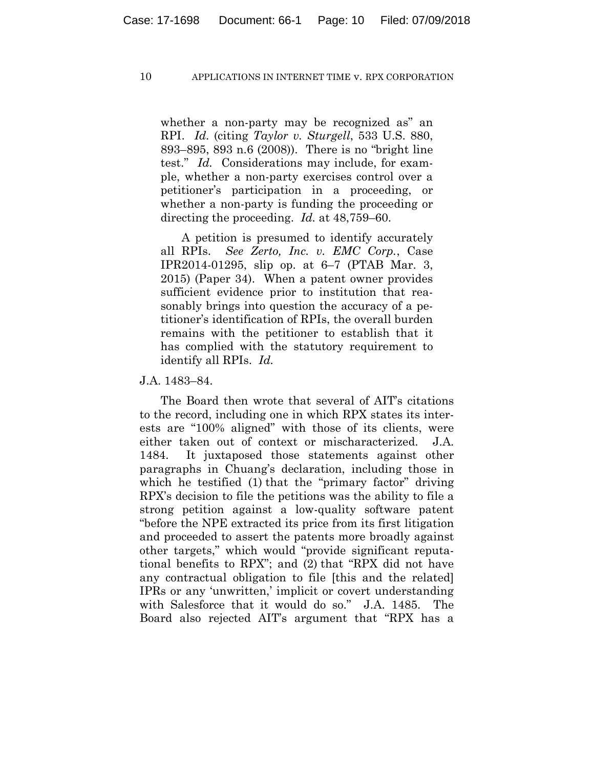whether a non-party may be recognized as" an RPI. *Id.* (citing *Taylor v. Sturgell*, 533 U.S. 880, 893–895, 893 n.6 (2008)). There is no "bright line test." *Id.* Considerations may include, for example, whether a non-party exercises control over a petitioner's participation in a proceeding, or whether a non-party is funding the proceeding or directing the proceeding. *Id.* at 48,759–60.

A petition is presumed to identify accurately all RPIs. *See Zerto, Inc. v. EMC Corp.*, Case IPR2014-01295, slip op. at 6–7 (PTAB Mar. 3, 2015) (Paper 34). When a patent owner provides sufficient evidence prior to institution that reasonably brings into question the accuracy of a petitioner's identification of RPIs, the overall burden remains with the petitioner to establish that it has complied with the statutory requirement to identify all RPIs. *Id.*

J.A. 1483–84.

The Board then wrote that several of AIT's citations to the record, including one in which RPX states its interests are "100% aligned" with those of its clients, were either taken out of context or mischaracterized. J.A. 1484. It juxtaposed those statements against other paragraphs in Chuang's declaration, including those in which he testified (1) that the "primary factor" driving RPX's decision to file the petitions was the ability to file a strong petition against a low-quality software patent "before the NPE extracted its price from its first litigation and proceeded to assert the patents more broadly against other targets," which would "provide significant reputational benefits to RPX"; and (2) that "RPX did not have any contractual obligation to file [this and the related] IPRs or any 'unwritten,' implicit or covert understanding with Salesforce that it would do so." J.A. 1485. The Board also rejected AIT's argument that "RPX has a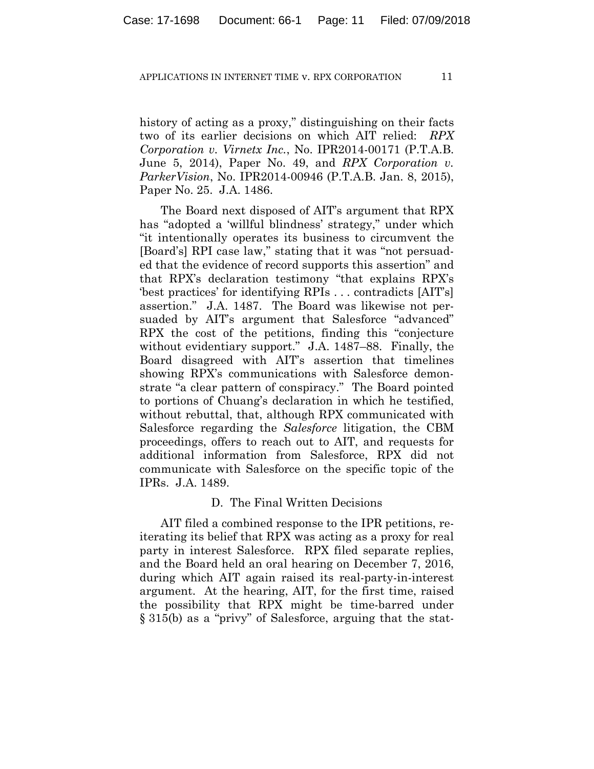history of acting as a proxy," distinguishing on their facts two of its earlier decisions on which AIT relied: *RPX Corporation v. Virnetx Inc.*, No. IPR2014-00171 (P.T.A.B. June 5, 2014), Paper No. 49, and *RPX Corporation v. ParkerVision*, No. IPR2014-00946 (P.T.A.B. Jan. 8, 2015), Paper No. 25. J.A. 1486.

The Board next disposed of AIT's argument that RPX has "adopted a 'willful blindness' strategy," under which "it intentionally operates its business to circumvent the [Board's] RPI case law," stating that it was "not persuaded that the evidence of record supports this assertion" and that RPX's declaration testimony "that explains RPX's 'best practices' for identifying RPIs . . . contradicts [AIT's] assertion." J.A. 1487. The Board was likewise not persuaded by AIT's argument that Salesforce "advanced" RPX the cost of the petitions, finding this "conjecture without evidentiary support." J.A. 1487–88.Finally, the Board disagreed with AIT's assertion that timelines showing RPX's communications with Salesforce demonstrate "a clear pattern of conspiracy." The Board pointed to portions of Chuang's declaration in which he testified, without rebuttal, that, although RPX communicated with Salesforce regarding the *Salesforce* litigation, the CBM proceedings, offers to reach out to AIT, and requests for additional information from Salesforce, RPX did not communicate with Salesforce on the specific topic of the IPRs. J.A. 1489.

## D. The Final Written Decisions

AIT filed a combined response to the IPR petitions, reiterating its belief that RPX was acting as a proxy for real party in interest Salesforce. RPX filed separate replies, and the Board held an oral hearing on December 7, 2016, during which AIT again raised its real-party-in-interest argument. At the hearing, AIT, for the first time, raised the possibility that RPX might be time-barred under § 315(b) as a "privy" of Salesforce, arguing that the stat-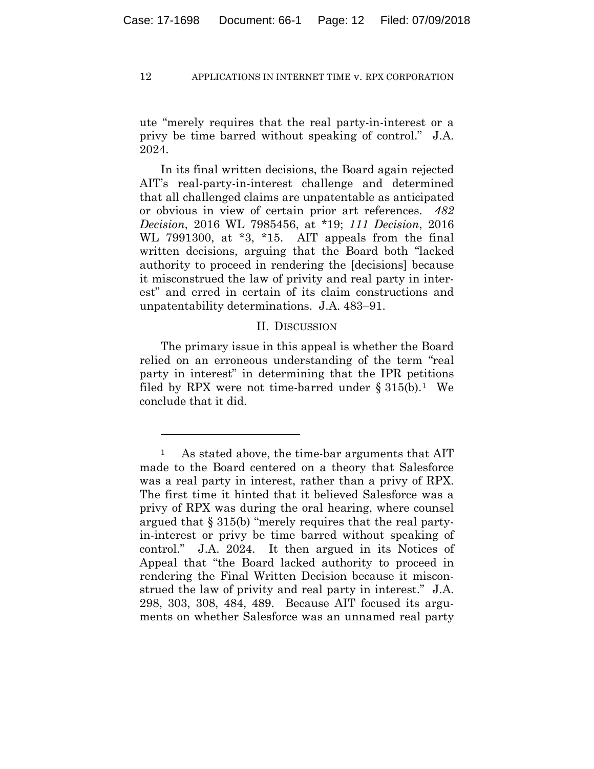ute "merely requires that the real party-in-interest or a privy be time barred without speaking of control." J.A. 2024.

In its final written decisions, the Board again rejected AIT's real-party-in-interest challenge and determined that all challenged claims are unpatentable as anticipated or obvious in view of certain prior art references. *482 Decision*, 2016 WL 7985456, at \*19; *111 Decision*, 2016 WL 7991300, at  $*3$ ,  $*15$ . AIT appeals from the final written decisions, arguing that the Board both "lacked authority to proceed in rendering the [decisions] because it misconstrued the law of privity and real party in interest" and erred in certain of its claim constructions and unpatentability determinations. J.A. 483–91.

# II. DISCUSSION

The primary issue in this appeal is whether the Board relied on an erroneous understanding of the term "real party in interest" in determining that the IPR petitions filed by RPX were not time-barred under  $\S 315(b)$ .<sup>1</sup> We conclude that it did.

1

<sup>&</sup>lt;sup>1</sup> As stated above, the time-bar arguments that AIT made to the Board centered on a theory that Salesforce was a real party in interest, rather than a privy of RPX. The first time it hinted that it believed Salesforce was a privy of RPX was during the oral hearing, where counsel argued that § 315(b) "merely requires that the real partyin-interest or privy be time barred without speaking of control." J.A. 2024. It then argued in its Notices of Appeal that "the Board lacked authority to proceed in rendering the Final Written Decision because it misconstrued the law of privity and real party in interest." J.A. 298, 303, 308, 484, 489. Because AIT focused its arguments on whether Salesforce was an unnamed real party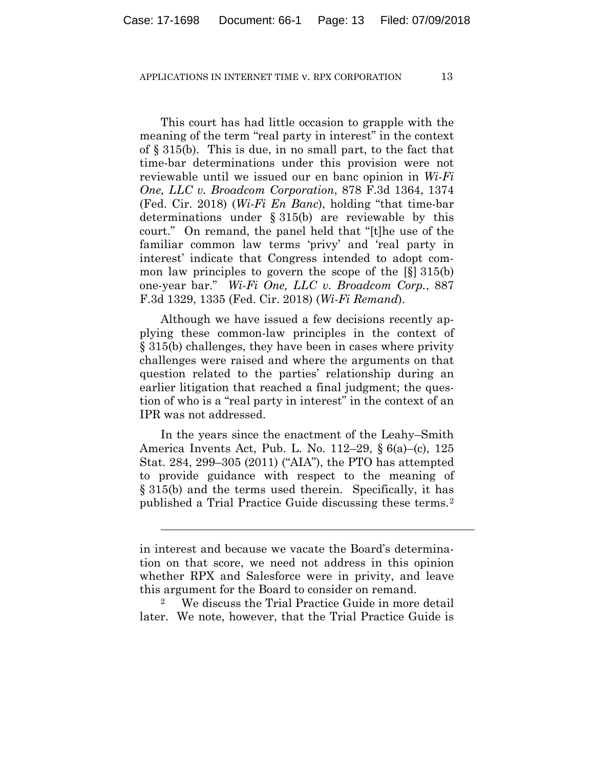This court has had little occasion to grapple with the meaning of the term "real party in interest" in the context of § 315(b). This is due, in no small part, to the fact that time-bar determinations under this provision were not reviewable until we issued our en banc opinion in *Wi-Fi One, LLC v. Broadcom Corporation*, 878 F.3d 1364, 1374 (Fed. Cir. 2018) (*Wi-Fi En Banc*), holding "that time-bar determinations under § 315(b) are reviewable by this court." On remand, the panel held that "[t]he use of the familiar common law terms 'privy' and 'real party in interest' indicate that Congress intended to adopt common law principles to govern the scope of the [§] 315(b) one-year bar." *Wi-Fi One, LLC v. Broadcom Corp.*, 887 F.3d 1329, 1335 (Fed. Cir. 2018) (*Wi-Fi Remand*).

Although we have issued a few decisions recently applying these common-law principles in the context of § 315(b) challenges, they have been in cases where privity challenges were raised and where the arguments on that question related to the parties' relationship during an earlier litigation that reached a final judgment; the question of who is a "real party in interest" in the context of an IPR was not addressed.

In the years since the enactment of the Leahy–Smith America Invents Act, Pub. L. No. 112–29, § 6(a)–(c), 125 Stat. 284, 299–305 (2011) ("AIA"), the PTO has attempted to provide guidance with respect to the meaning of § 315(b) and the terms used therein. Specifically, it has published a Trial Practice Guide discussing these terms.2

 $\overline{a}$ 

We discuss the Trial Practice Guide in more detail later. We note, however, that the Trial Practice Guide is

in interest and because we vacate the Board's determination on that score, we need not address in this opinion whether RPX and Salesforce were in privity, and leave this argument for the Board to consider on remand.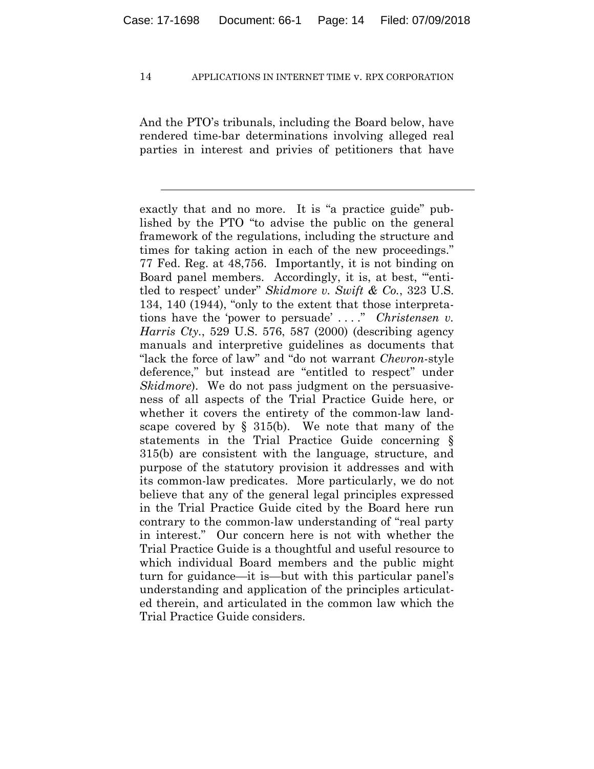And the PTO's tribunals, including the Board below, have rendered time-bar determinations involving alleged real parties in interest and privies of petitioners that have

l

exactly that and no more. It is "a practice guide" published by the PTO "to advise the public on the general framework of the regulations, including the structure and times for taking action in each of the new proceedings." 77 Fed. Reg. at 48,756. Importantly, it is not binding on Board panel members. Accordingly, it is, at best, "'entitled to respect' under" *Skidmore v. Swift & Co.*, 323 U.S. 134, 140 (1944), "only to the extent that those interpretations have the 'power to persuade' . . . ." *Christensen v. Harris Cty.*, 529 U.S. 576, 587 (2000) (describing agency manuals and interpretive guidelines as documents that "lack the force of law" and "do not warrant *Chevron*-style deference," but instead are "entitled to respect" under *Skidmore*). We do not pass judgment on the persuasiveness of all aspects of the Trial Practice Guide here, or whether it covers the entirety of the common-law landscape covered by  $\S$  315(b). We note that many of the statements in the Trial Practice Guide concerning § 315(b) are consistent with the language, structure, and purpose of the statutory provision it addresses and with its common-law predicates. More particularly, we do not believe that any of the general legal principles expressed in the Trial Practice Guide cited by the Board here run contrary to the common-law understanding of "real party in interest." Our concern here is not with whether the Trial Practice Guide is a thoughtful and useful resource to which individual Board members and the public might turn for guidance—it is—but with this particular panel's understanding and application of the principles articulated therein, and articulated in the common law which the Trial Practice Guide considers.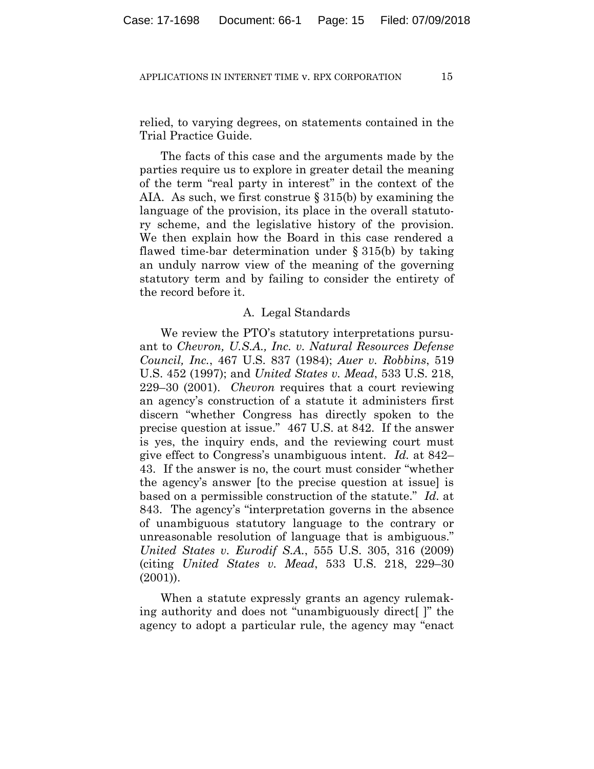relied, to varying degrees, on statements contained in the Trial Practice Guide.

The facts of this case and the arguments made by the parties require us to explore in greater detail the meaning of the term "real party in interest" in the context of the AIA. As such, we first construe § 315(b) by examining the language of the provision, its place in the overall statutory scheme, and the legislative history of the provision. We then explain how the Board in this case rendered a flawed time-bar determination under § 315(b) by taking an unduly narrow view of the meaning of the governing statutory term and by failing to consider the entirety of the record before it.

## A. Legal Standards

We review the PTO's statutory interpretations pursuant to *Chevron, U.S.A., Inc. v. Natural Resources Defense Council, Inc.*, 467 U.S. 837 (1984); *Auer v. Robbins*, 519 U.S. 452 (1997); and *United States v. Mead*, 533 U.S. 218, 229–30 (2001). *Chevron* requires that a court reviewing an agency's construction of a statute it administers first discern "whether Congress has directly spoken to the precise question at issue." 467 U.S. at 842. If the answer is yes, the inquiry ends, and the reviewing court must give effect to Congress's unambiguous intent. *Id.* at 842– 43. If the answer is no, the court must consider "whether the agency's answer [to the precise question at issue] is based on a permissible construction of the statute." *Id.* at 843. The agency's "interpretation governs in the absence of unambiguous statutory language to the contrary or unreasonable resolution of language that is ambiguous." *United States v. Eurodif S.A.*, 555 U.S. 305, 316 (2009) (citing *United States v. Mead*, 533 U.S. 218, 229–30 (2001)).

When a statute expressly grants an agency rulemaking authority and does not "unambiguously direct[ ]" the agency to adopt a particular rule, the agency may "enact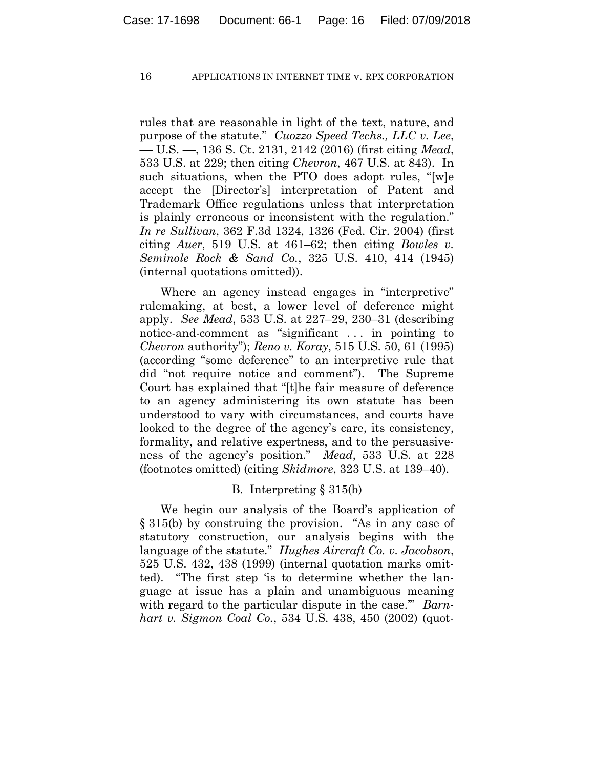rules that are reasonable in light of the text, nature, and purpose of the statute." *Cuozzo Speed Techs., LLC v. Lee*, –– U.S. ––, 136 S. Ct. 2131, 2142 (2016) (first citing *Mead*, 533 U.S. at 229; then citing *Chevron*, 467 U.S. at 843). In such situations, when the PTO does adopt rules, "[w]e accept the [Director's] interpretation of Patent and Trademark Office regulations unless that interpretation is plainly erroneous or inconsistent with the regulation." *In re Sullivan*, 362 F.3d 1324, 1326 (Fed. Cir. 2004) (first citing *Auer*, 519 U.S. at 461–62; then citing *Bowles v. Seminole Rock & Sand Co.*, 325 U.S. 410, 414 (1945) (internal quotations omitted)).

Where an agency instead engages in "interpretive" rulemaking, at best, a lower level of deference might apply. *See Mead*, 533 U.S. at 227–29, 230–31 (describing notice-and-comment as "significant . . . in pointing to *Chevron* authority"); *Reno v. Koray*, 515 U.S. 50, 61 (1995) (according "some deference" to an interpretive rule that did "not require notice and comment"). The Supreme Court has explained that "[t]he fair measure of deference to an agency administering its own statute has been understood to vary with circumstances, and courts have looked to the degree of the agency's care, its consistency, formality, and relative expertness, and to the persuasiveness of the agency's position." *Mead*, 533 U.S*.* at 228 (footnotes omitted) (citing *Skidmore*, 323 U.S. at 139–40).

# B. Interpreting § 315(b)

We begin our analysis of the Board's application of § 315(b) by construing the provision. "As in any case of statutory construction, our analysis begins with the language of the statute." *Hughes Aircraft Co. v. Jacobson*, 525 U.S. 432, 438 (1999) (internal quotation marks omitted). "The first step 'is to determine whether the language at issue has a plain and unambiguous meaning with regard to the particular dispute in the case.'" *Barnhart v. Sigmon Coal Co.*, 534 U.S. 438, 450 (2002) (quot-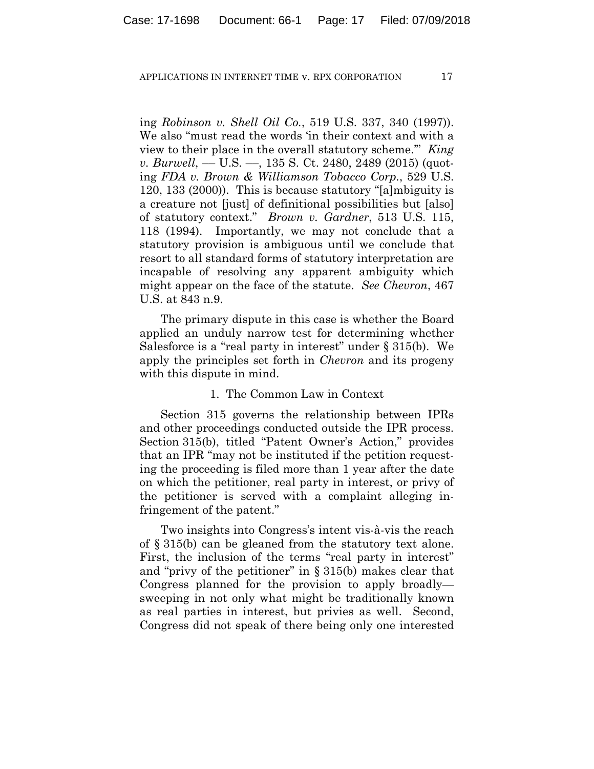ing *Robinson v. Shell Oil Co.*, 519 U.S. 337, 340 (1997)). We also "must read the words 'in their context and with a view to their place in the overall statutory scheme.'" *King v. Burwell*, — U.S. —, 135 S. Ct. 2480, 2489 (2015) (quoting *FDA v. Brown & Williamson Tobacco Corp.*, 529 U.S. 120, 133 (2000)). This is because statutory "[a]mbiguity is a creature not [just] of definitional possibilities but [also] of statutory context." *Brown v. Gardner*, 513 U.S. 115, 118 (1994). Importantly, we may not conclude that a statutory provision is ambiguous until we conclude that resort to all standard forms of statutory interpretation are incapable of resolving any apparent ambiguity which might appear on the face of the statute. *See Chevron*, 467 U.S. at 843 n.9.

The primary dispute in this case is whether the Board applied an unduly narrow test for determining whether Salesforce is a "real party in interest" under § 315(b). We apply the principles set forth in *Chevron* and its progeny with this dispute in mind.

## 1. The Common Law in Context

Section 315 governs the relationship between IPRs and other proceedings conducted outside the IPR process. Section 315(b), titled "Patent Owner's Action," provides that an IPR "may not be instituted if the petition requesting the proceeding is filed more than 1 year after the date on which the petitioner, real party in interest, or privy of the petitioner is served with a complaint alleging infringement of the patent."

Two insights into Congress's intent vis-à-vis the reach of § 315(b) can be gleaned from the statutory text alone. First, the inclusion of the terms "real party in interest" and "privy of the petitioner" in § 315(b) makes clear that Congress planned for the provision to apply broadly sweeping in not only what might be traditionally known as real parties in interest, but privies as well. Second, Congress did not speak of there being only one interested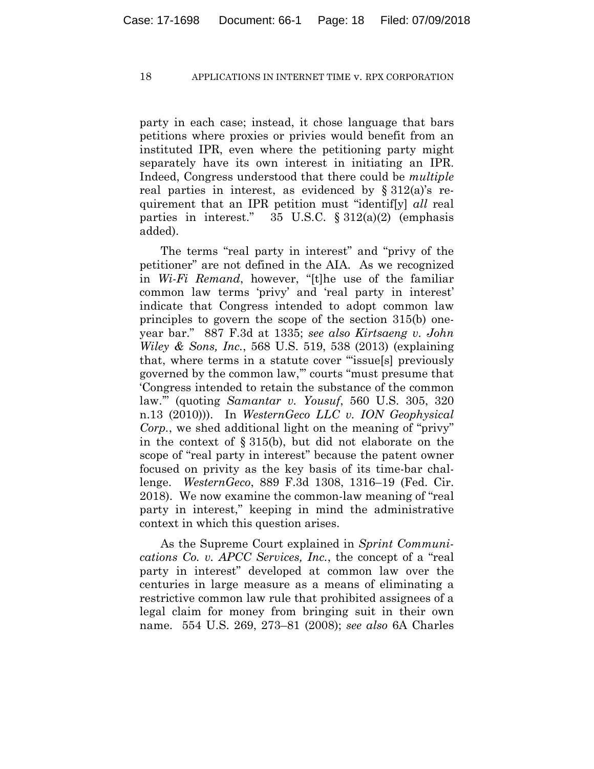party in each case; instead, it chose language that bars petitions where proxies or privies would benefit from an instituted IPR, even where the petitioning party might separately have its own interest in initiating an IPR. Indeed, Congress understood that there could be *multiple* real parties in interest, as evidenced by  $\S 312(a)$ 's requirement that an IPR petition must "identif[y] *all* real parties in interest."  $35 \text{ U.S.C. } \S 312(a)(2)$  (emphasis added).

The terms "real party in interest" and "privy of the petitioner" are not defined in the AIA. As we recognized in *Wi-Fi Remand*, however, "[t]he use of the familiar common law terms 'privy' and 'real party in interest' indicate that Congress intended to adopt common law principles to govern the scope of the section 315(b) oneyear bar." 887 F.3d at 1335; *see also Kirtsaeng v. John Wiley & Sons, Inc.*, 568 U.S. 519, 538 (2013) (explaining that, where terms in a statute cover '"issue[s] previously governed by the common law,'" courts "must presume that 'Congress intended to retain the substance of the common law.'" (quoting *Samantar v. Yousuf*, 560 U.S. 305, 320 n.13 (2010))). In *WesternGeco LLC v. ION Geophysical Corp.*, we shed additional light on the meaning of "privy" in the context of § 315(b), but did not elaborate on the scope of "real party in interest" because the patent owner focused on privity as the key basis of its time-bar challenge. *WesternGeco*, 889 F.3d 1308, 1316–19 (Fed. Cir. 2018). We now examine the common-law meaning of "real party in interest," keeping in mind the administrative context in which this question arises.

As the Supreme Court explained in *Sprint Communications Co. v. APCC Services, Inc.*, the concept of a "real party in interest" developed at common law over the centuries in large measure as a means of eliminating a restrictive common law rule that prohibited assignees of a legal claim for money from bringing suit in their own name. 554 U.S. 269, 273–81 (2008); *see also* 6A Charles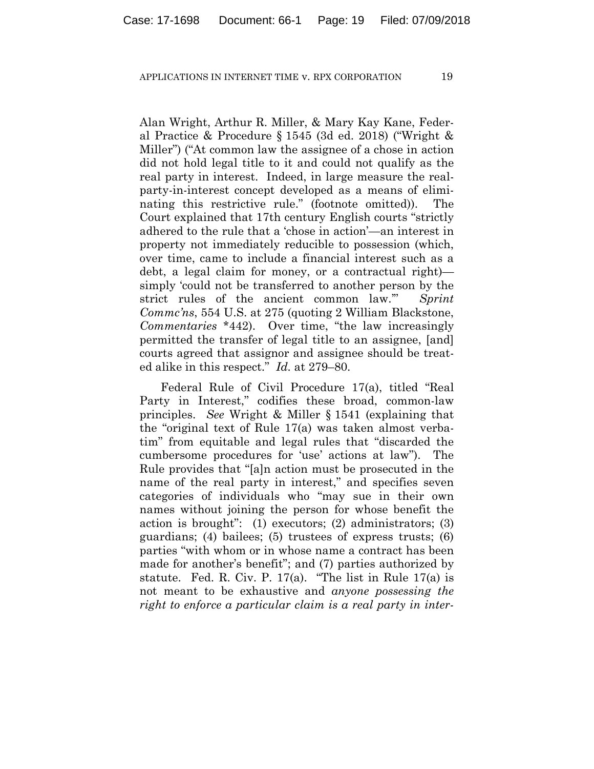Alan Wright, Arthur R. Miller, & Mary Kay Kane, Federal Practice & Procedure § 1545 (3d ed. 2018) ("Wright & Miller") ("At common law the assignee of a chose in action did not hold legal title to it and could not qualify as the real party in interest. Indeed, in large measure the realparty-in-interest concept developed as a means of eliminating this restrictive rule." (footnote omitted)). The Court explained that 17th century English courts "strictly adhered to the rule that a 'chose in action'—an interest in property not immediately reducible to possession (which, over time, came to include a financial interest such as a debt, a legal claim for money, or a contractual right) simply 'could not be transferred to another person by the strict rules of the ancient common law.'" *Sprint Commc'ns*, 554 U.S. at 275 (quoting 2 William Blackstone, *Commentaries* \*442). Over time, "the law increasingly permitted the transfer of legal title to an assignee, [and] courts agreed that assignor and assignee should be treated alike in this respect." *Id.* at 279–80.

Federal Rule of Civil Procedure 17(a), titled "Real Party in Interest," codifies these broad, common-law principles. *See* Wright & Miller § 1541 (explaining that the "original text of Rule 17(a) was taken almost verbatim" from equitable and legal rules that "discarded the cumbersome procedures for 'use' actions at law"). The Rule provides that "[a]n action must be prosecuted in the name of the real party in interest," and specifies seven categories of individuals who "may sue in their own names without joining the person for whose benefit the action is brought": (1) executors; (2) administrators; (3) guardians; (4) bailees; (5) trustees of express trusts; (6) parties "with whom or in whose name a contract has been made for another's benefit"; and (7) parties authorized by statute. Fed. R. Civ. P. 17(a). "The list in Rule 17(a) is not meant to be exhaustive and *anyone possessing the right to enforce a particular claim is a real party in inter-*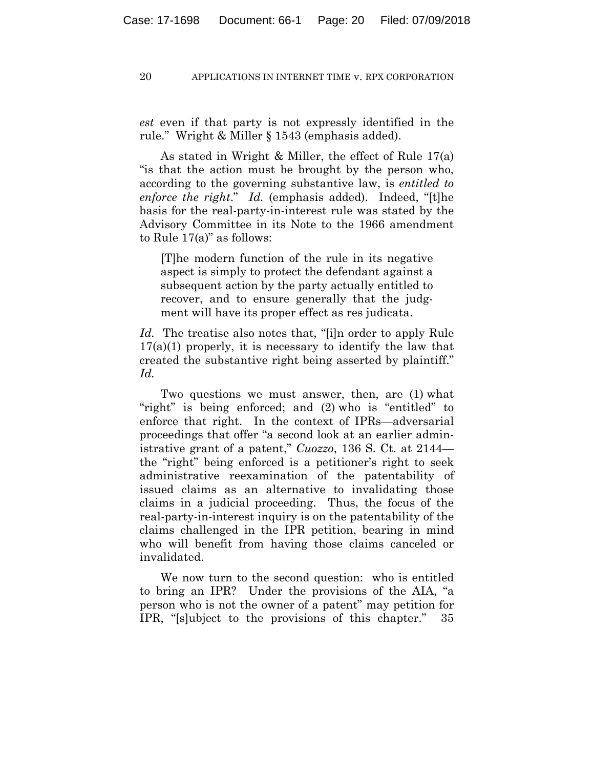*est* even if that party is not expressly identified in the rule." Wright & Miller § 1543 (emphasis added).

As stated in Wright & Miller, the effect of Rule 17(a) "is that the action must be brought by the person who, according to the governing substantive law, is *entitled to enforce the right*." *Id.* (emphasis added). Indeed, "[t]he basis for the real-party-in-interest rule was stated by the Advisory Committee in its Note to the 1966 amendment to Rule 17(a)" as follows:

[T]he modern function of the rule in its negative aspect is simply to protect the defendant against a subsequent action by the party actually entitled to recover, and to ensure generally that the judgment will have its proper effect as res judicata.

*Id.* The treatise also notes that, "[i]n order to apply Rule  $17(a)(1)$  properly, it is necessary to identify the law that created the substantive right being asserted by plaintiff." *Id.*

Two questions we must answer, then, are (1) what "right" is being enforced; and (2) who is "entitled" to enforce that right. In the context of IPRs—adversarial proceedings that offer "a second look at an earlier administrative grant of a patent," *Cuozzo*, 136 S. Ct. at 2144 the "right" being enforced is a petitioner's right to seek administrative reexamination of the patentability of issued claims as an alternative to invalidating those claims in a judicial proceeding. Thus, the focus of the real-party-in-interest inquiry is on the patentability of the claims challenged in the IPR petition, bearing in mind who will benefit from having those claims canceled or invalidated.

We now turn to the second question: who is entitled to bring an IPR? Under the provisions of the AIA, "a person who is not the owner of a patent" may petition for IPR, "[s]ubject to the provisions of this chapter." 35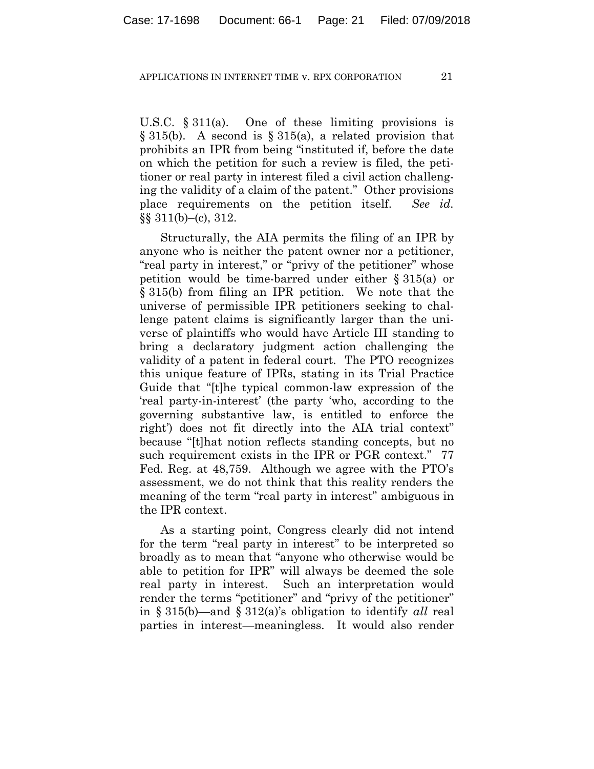U.S.C. § 311(a). One of these limiting provisions is  $\S 315(b)$ . A second is  $\S 315(a)$ , a related provision that prohibits an IPR from being "instituted if, before the date on which the petition for such a review is filed, the petitioner or real party in interest filed a civil action challenging the validity of a claim of the patent." Other provisions place requirements on the petition itself. *See id.*  $\S\S 311(b)$ –(c), 312.

Structurally, the AIA permits the filing of an IPR by anyone who is neither the patent owner nor a petitioner, "real party in interest," or "privy of the petitioner" whose petition would be time-barred under either § 315(a) or § 315(b) from filing an IPR petition. We note that the universe of permissible IPR petitioners seeking to challenge patent claims is significantly larger than the universe of plaintiffs who would have Article III standing to bring a declaratory judgment action challenging the validity of a patent in federal court. The PTO recognizes this unique feature of IPRs, stating in its Trial Practice Guide that "[t]he typical common-law expression of the 'real party-in-interest' (the party 'who, according to the governing substantive law, is entitled to enforce the right') does not fit directly into the AIA trial context" because "[t]hat notion reflects standing concepts, but no such requirement exists in the IPR or PGR context." 77 Fed. Reg. at 48,759. Although we agree with the PTO's assessment, we do not think that this reality renders the meaning of the term "real party in interest" ambiguous in the IPR context.

As a starting point, Congress clearly did not intend for the term "real party in interest" to be interpreted so broadly as to mean that "anyone who otherwise would be able to petition for IPR" will always be deemed the sole real party in interest. Such an interpretation would render the terms "petitioner" and "privy of the petitioner" in § 315(b)—and § 312(a)'s obligation to identify *all* real parties in interest—meaningless. It would also render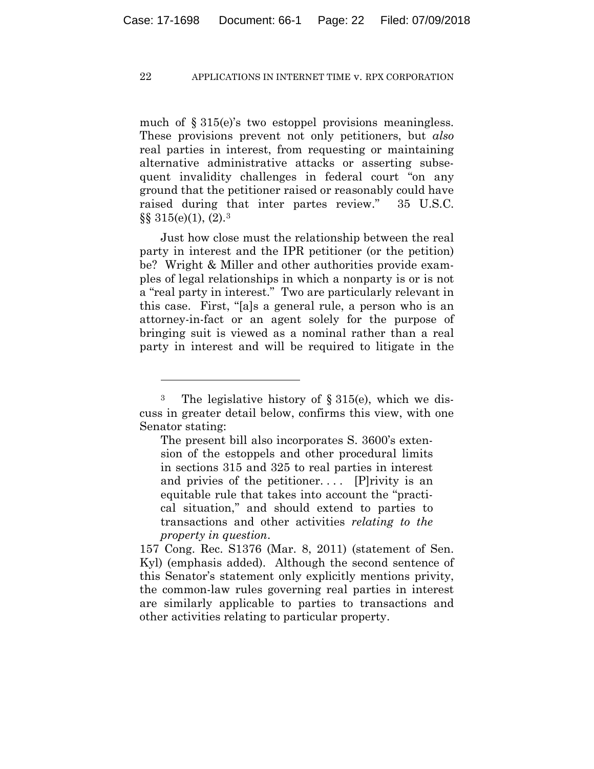much of § 315(e)'s two estoppel provisions meaningless. These provisions prevent not only petitioners, but *also* real parties in interest, from requesting or maintaining alternative administrative attacks or asserting subsequent invalidity challenges in federal court "on any ground that the petitioner raised or reasonably could have raised during that inter partes review." 35 U.S.C.  $\S\S 315(e)(1)$ ,  $(2).3$ 

Just how close must the relationship between the real party in interest and the IPR petitioner (or the petition) be? Wright & Miller and other authorities provide examples of legal relationships in which a nonparty is or is not a "real party in interest." Two are particularly relevant in this case. First, "[a]s a general rule, a person who is an attorney-in-fact or an agent solely for the purpose of bringing suit is viewed as a nominal rather than a real party in interest and will be required to litigate in the

<u>.</u>

The present bill also incorporates S. 3600's extension of the estoppels and other procedural limits in sections 315 and 325 to real parties in interest and privies of the petitioner....  $[P]$ rivity is an equitable rule that takes into account the ''practical situation,'' and should extend to parties to transactions and other activities *relating to the property in question*.

<sup>&</sup>lt;sup>3</sup> The legislative history of  $\S 315(e)$ , which we discuss in greater detail below, confirms this view, with one Senator stating:

<sup>157</sup> Cong. Rec. S1376 (Mar. 8, 2011) (statement of Sen. Kyl) (emphasis added). Although the second sentence of this Senator's statement only explicitly mentions privity, the common-law rules governing real parties in interest are similarly applicable to parties to transactions and other activities relating to particular property.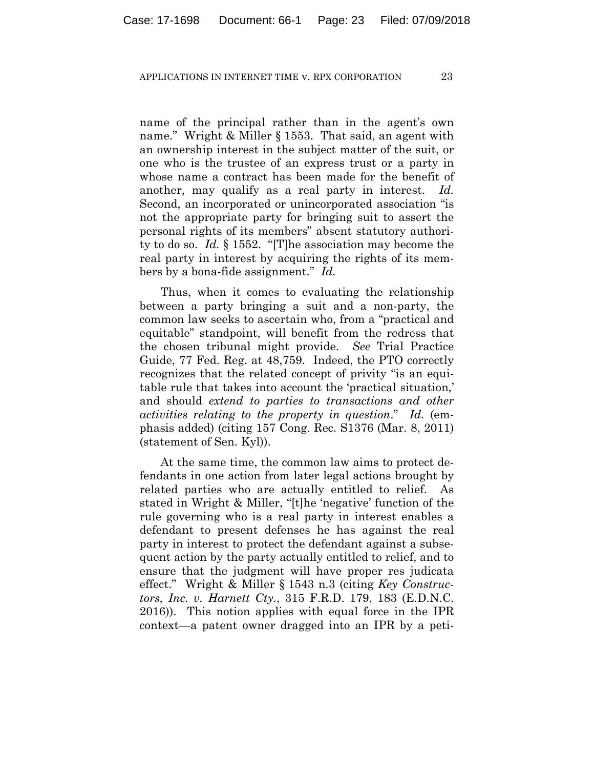name of the principal rather than in the agent's own name." Wright & Miller § 1553. That said, an agent with an ownership interest in the subject matter of the suit, or one who is the trustee of an express trust or a party in whose name a contract has been made for the benefit of another, may qualify as a real party in interest. *Id.* Second, an incorporated or unincorporated association "is not the appropriate party for bringing suit to assert the personal rights of its members" absent statutory authority to do so. *Id.* § 1552. "[T]he association may become the real party in interest by acquiring the rights of its members by a bona-fide assignment." *Id.*

Thus, when it comes to evaluating the relationship between a party bringing a suit and a non-party, the common law seeks to ascertain who, from a "practical and equitable" standpoint, will benefit from the redress that the chosen tribunal might provide. *See* Trial Practice Guide, 77 Fed. Reg. at 48,759. Indeed, the PTO correctly recognizes that the related concept of privity "is an equitable rule that takes into account the 'practical situation,' and should *extend to parties to transactions and other activities relating to the property in question*." *Id.* (emphasis added) (citing 157 Cong. Rec. S1376 (Mar. 8, 2011) (statement of Sen. Kyl)).

At the same time, the common law aims to protect defendants in one action from later legal actions brought by related parties who are actually entitled to relief. As stated in Wright & Miller, "[t]he 'negative' function of the rule governing who is a real party in interest enables a defendant to present defenses he has against the real party in interest to protect the defendant against a subsequent action by the party actually entitled to relief, and to ensure that the judgment will have proper res judicata effect." Wright & Miller § 1543 n.3 (citing *Key Constructors, Inc. v. Harnett Cty.*, 315 F.R.D. 179, 183 (E.D.N.C. 2016)). This notion applies with equal force in the IPR context—a patent owner dragged into an IPR by a peti-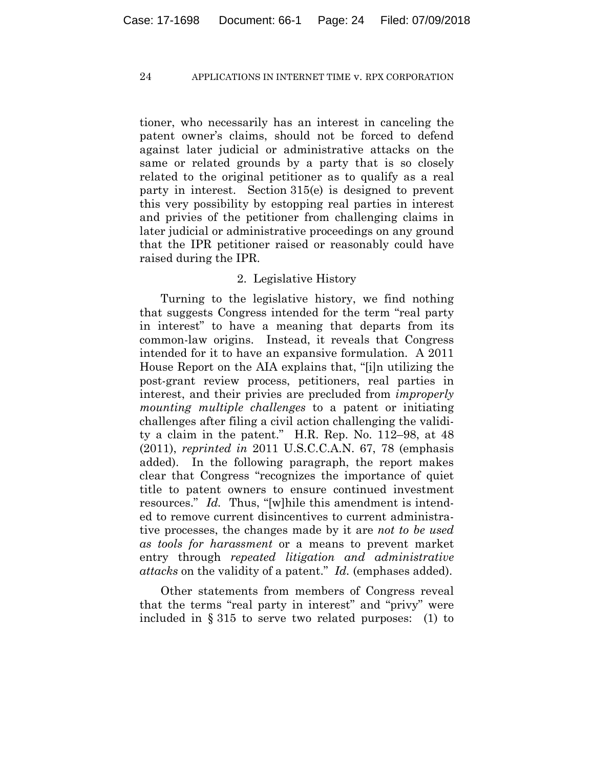tioner, who necessarily has an interest in canceling the patent owner's claims, should not be forced to defend against later judicial or administrative attacks on the same or related grounds by a party that is so closely related to the original petitioner as to qualify as a real party in interest. Section 315(e) is designed to prevent this very possibility by estopping real parties in interest and privies of the petitioner from challenging claims in later judicial or administrative proceedings on any ground that the IPR petitioner raised or reasonably could have raised during the IPR.

## 2. Legislative History

Turning to the legislative history, we find nothing that suggests Congress intended for the term "real party in interest" to have a meaning that departs from its common-law origins. Instead, it reveals that Congress intended for it to have an expansive formulation. A 2011 House Report on the AIA explains that, "[i]n utilizing the post-grant review process, petitioners, real parties in interest, and their privies are precluded from *improperly mounting multiple challenges* to a patent or initiating challenges after filing a civil action challenging the validity a claim in the patent." H.R. Rep. No. 112–98, at 48 (2011), *reprinted in* 2011 U.S.C.C.A.N. 67, 78 (emphasis added). In the following paragraph, the report makes clear that Congress "recognizes the importance of quiet title to patent owners to ensure continued investment resources." *Id.* Thus, "[w]hile this amendment is intended to remove current disincentives to current administrative processes, the changes made by it are *not to be used as tools for harassment* or a means to prevent market entry through *repeated litigation and administrative attacks* on the validity of a patent." *Id.* (emphases added).

Other statements from members of Congress reveal that the terms "real party in interest" and "privy" were included in § 315 to serve two related purposes: (1) to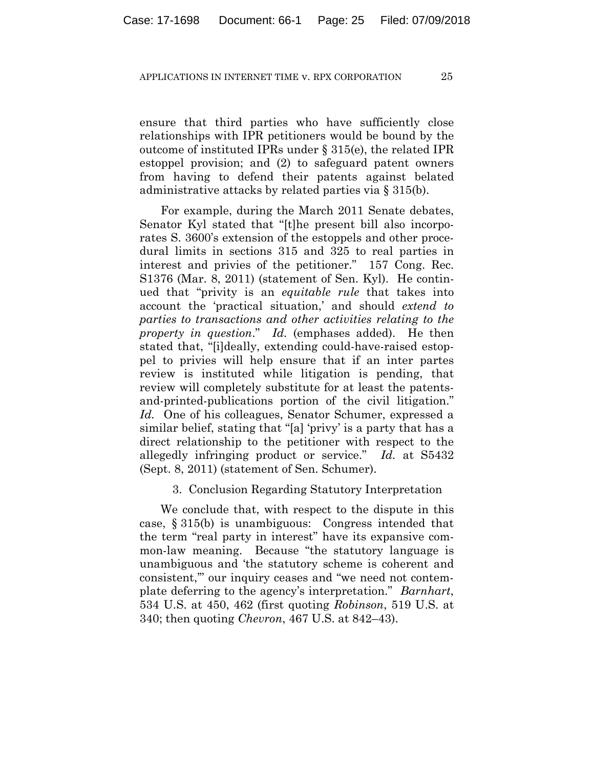ensure that third parties who have sufficiently close relationships with IPR petitioners would be bound by the outcome of instituted IPRs under § 315(e), the related IPR estoppel provision; and (2) to safeguard patent owners from having to defend their patents against belated administrative attacks by related parties via § 315(b).

For example, during the March 2011 Senate debates, Senator Kyl stated that "[t]he present bill also incorporates S. 3600's extension of the estoppels and other procedural limits in sections 315 and 325 to real parties in interest and privies of the petitioner." 157 Cong. Rec. S1376 (Mar. 8, 2011) (statement of Sen. Kyl). He continued that "privity is an *equitable rule* that takes into account the 'practical situation,' and should *extend to parties to transactions and other activities relating to the property in question*." *Id.* (emphases added). He then stated that, "[i]deally, extending could-have-raised estoppel to privies will help ensure that if an inter partes review is instituted while litigation is pending, that review will completely substitute for at least the patentsand-printed-publications portion of the civil litigation." *Id.* One of his colleagues, Senator Schumer, expressed a similar belief, stating that "[a] 'privy' is a party that has a direct relationship to the petitioner with respect to the allegedly infringing product or service." *Id.* at S5432 (Sept. 8, 2011) (statement of Sen. Schumer).

## 3. Conclusion Regarding Statutory Interpretation

We conclude that, with respect to the dispute in this case, § 315(b) is unambiguous: Congress intended that the term "real party in interest" have its expansive common-law meaning. Because "the statutory language is unambiguous and 'the statutory scheme is coherent and consistent,'" our inquiry ceases and "we need not contemplate deferring to the agency's interpretation." *Barnhart*, 534 U.S. at 450, 462 (first quoting *Robinson*, 519 U.S. at 340; then quoting *Chevron*, 467 U.S. at 842–43).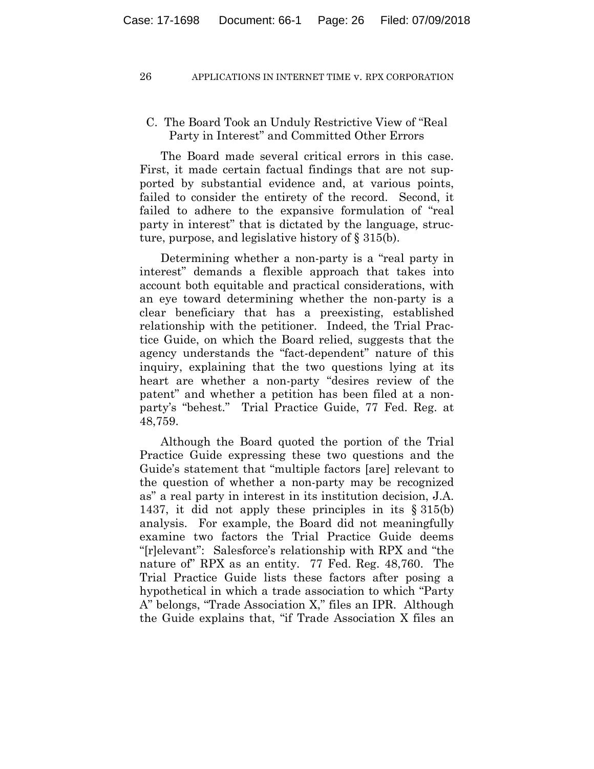# C. The Board Took an Unduly Restrictive View of "Real Party in Interest" and Committed Other Errors

The Board made several critical errors in this case. First, it made certain factual findings that are not supported by substantial evidence and, at various points, failed to consider the entirety of the record. Second, it failed to adhere to the expansive formulation of "real party in interest" that is dictated by the language, structure, purpose, and legislative history of § 315(b).

Determining whether a non-party is a "real party in interest" demands a flexible approach that takes into account both equitable and practical considerations, with an eye toward determining whether the non-party is a clear beneficiary that has a preexisting, established relationship with the petitioner. Indeed, the Trial Practice Guide, on which the Board relied, suggests that the agency understands the "fact-dependent" nature of this inquiry, explaining that the two questions lying at its heart are whether a non-party "desires review of the patent" and whether a petition has been filed at a nonparty's "behest." Trial Practice Guide, 77 Fed. Reg. at 48,759.

Although the Board quoted the portion of the Trial Practice Guide expressing these two questions and the Guide's statement that "multiple factors [are] relevant to the question of whether a non-party may be recognized as" a real party in interest in its institution decision, J.A. 1437, it did not apply these principles in its § 315(b) analysis. For example, the Board did not meaningfully examine two factors the Trial Practice Guide deems "[r]elevant": Salesforce's relationship with RPX and "the nature of" RPX as an entity. 77 Fed. Reg. 48,760. The Trial Practice Guide lists these factors after posing a hypothetical in which a trade association to which "Party A" belongs, "Trade Association X," files an IPR. Although the Guide explains that, "if Trade Association X files an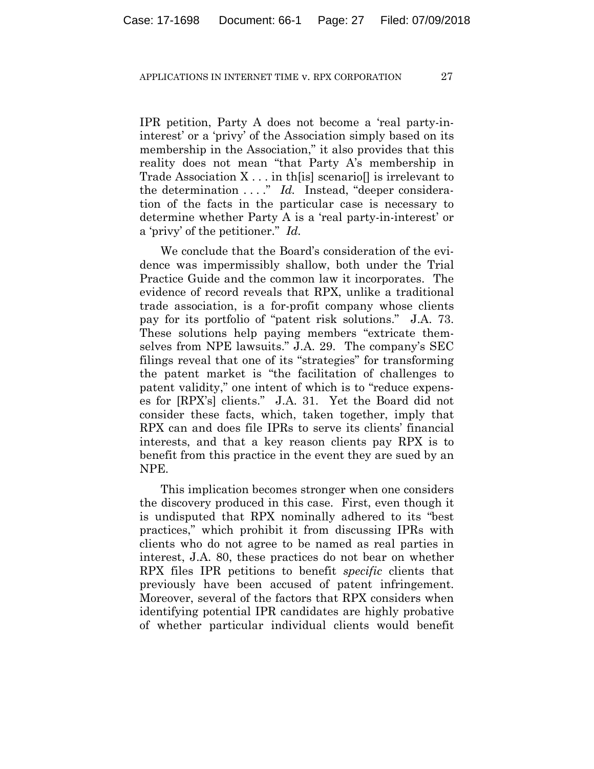IPR petition, Party A does not become a 'real party-ininterest' or a 'privy' of the Association simply based on its membership in the Association," it also provides that this reality does not mean "that Party A's membership in Trade Association  $X \dots$  in the scenario lis irrelevant to the determination . . . ." *Id.* Instead, "deeper consideration of the facts in the particular case is necessary to determine whether Party A is a 'real party-in-interest' or a 'privy' of the petitioner." *Id.*

We conclude that the Board's consideration of the evidence was impermissibly shallow, both under the Trial Practice Guide and the common law it incorporates. The evidence of record reveals that RPX, unlike a traditional trade association, is a for-profit company whose clients pay for its portfolio of "patent risk solutions." J.A. 73. These solutions help paying members "extricate themselves from NPE lawsuits." J.A. 29. The company's SEC filings reveal that one of its "strategies" for transforming the patent market is "the facilitation of challenges to patent validity," one intent of which is to "reduce expenses for [RPX's] clients." J.A. 31. Yet the Board did not consider these facts, which, taken together, imply that RPX can and does file IPRs to serve its clients' financial interests, and that a key reason clients pay RPX is to benefit from this practice in the event they are sued by an NPE.

This implication becomes stronger when one considers the discovery produced in this case. First, even though it is undisputed that RPX nominally adhered to its "best practices," which prohibit it from discussing IPRs with clients who do not agree to be named as real parties in interest, J.A. 80, these practices do not bear on whether RPX files IPR petitions to benefit *specific* clients that previously have been accused of patent infringement. Moreover, several of the factors that RPX considers when identifying potential IPR candidates are highly probative of whether particular individual clients would benefit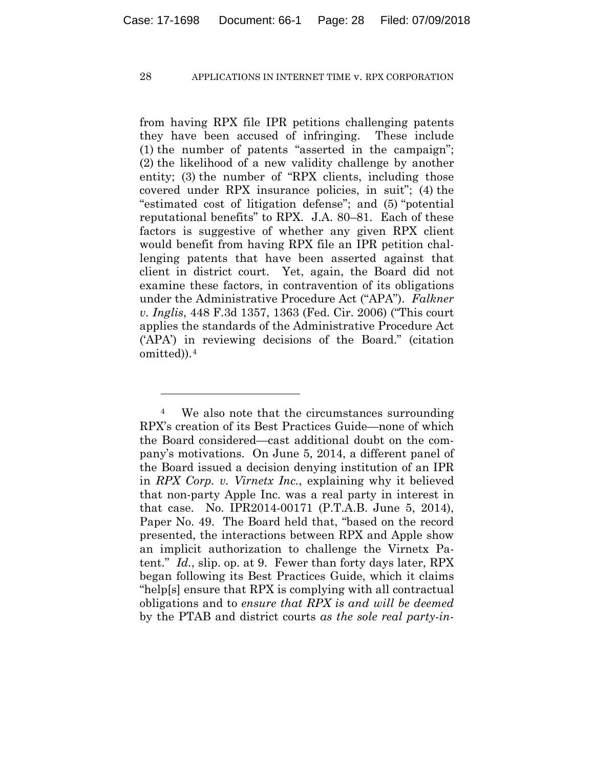from having RPX file IPR petitions challenging patents they have been accused of infringing. These include (1) the number of patents "asserted in the campaign"; (2) the likelihood of a new validity challenge by another entity; (3) the number of "RPX clients, including those covered under RPX insurance policies, in suit"; (4) the "estimated cost of litigation defense"; and (5) "potential reputational benefits" to RPX. J.A. 80–81. Each of these factors is suggestive of whether any given RPX client would benefit from having RPX file an IPR petition challenging patents that have been asserted against that client in district court. Yet, again, the Board did not examine these factors, in contravention of its obligations under the Administrative Procedure Act ("APA"). *Falkner v. Inglis*, 448 F.3d 1357, 1363 (Fed. Cir. 2006) ("This court applies the standards of the Administrative Procedure Act ('APA') in reviewing decisions of the Board." (citation omitted)).4

1

<sup>&</sup>lt;sup>4</sup> We also note that the circumstances surrounding RPX's creation of its Best Practices Guide—none of which the Board considered—cast additional doubt on the company's motivations. On June 5, 2014, a different panel of the Board issued a decision denying institution of an IPR in *RPX Corp. v. Virnetx Inc.*, explaining why it believed that non-party Apple Inc. was a real party in interest in that case. No. IPR2014-00171 (P.T.A.B. June 5, 2014), Paper No. 49. The Board held that, "based on the record presented, the interactions between RPX and Apple show an implicit authorization to challenge the Virnetx Patent." *Id.*, slip. op. at 9. Fewer than forty days later, RPX began following its Best Practices Guide, which it claims "help[s] ensure that RPX is complying with all contractual obligations and to *ensure that RPX is and will be deemed* by the PTAB and district courts *as the sole real party-in-*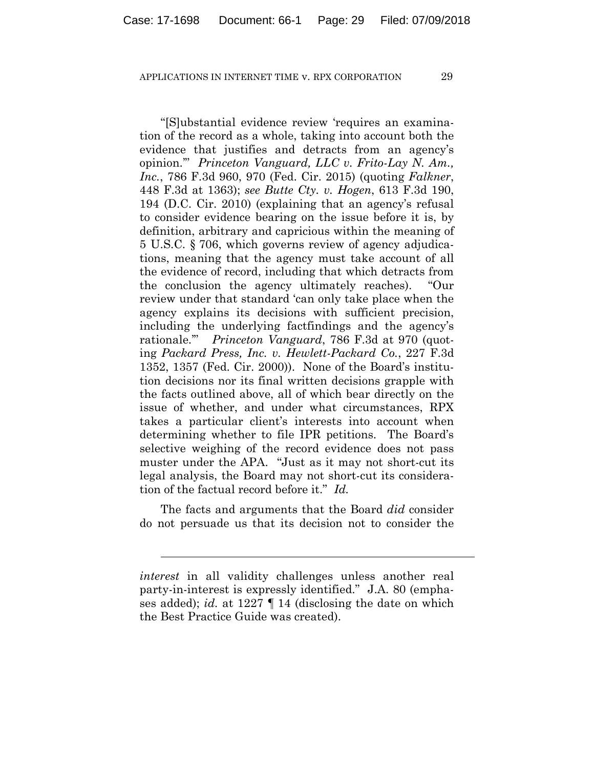"[S]ubstantial evidence review 'requires an examination of the record as a whole, taking into account both the evidence that justifies and detracts from an agency's opinion.'" *Princeton Vanguard, LLC v. Frito-Lay N. Am., Inc.*, 786 F.3d 960, 970 (Fed. Cir. 2015) (quoting *Falkner*, 448 F.3d at 1363); *see Butte Cty. v. Hogen*, 613 F.3d 190, 194 (D.C. Cir. 2010) (explaining that an agency's refusal to consider evidence bearing on the issue before it is, by definition, arbitrary and capricious within the meaning of 5 U.S.C. § 706, which governs review of agency adjudications, meaning that the agency must take account of all the evidence of record, including that which detracts from the conclusion the agency ultimately reaches). "Our review under that standard 'can only take place when the agency explains its decisions with sufficient precision, including the underlying factfindings and the agency's rationale.'" *Princeton Vanguard*, 786 F.3d at 970 (quoting *Packard Press, Inc. v. Hewlett-Packard Co.*, 227 F.3d 1352, 1357 (Fed. Cir. 2000)). None of the Board's institution decisions nor its final written decisions grapple with the facts outlined above, all of which bear directly on the issue of whether, and under what circumstances, RPX takes a particular client's interests into account when determining whether to file IPR petitions. The Board's selective weighing of the record evidence does not pass muster under the APA. "Just as it may not short-cut its legal analysis, the Board may not short-cut its consideration of the factual record before it." *Id.*

The facts and arguments that the Board *did* consider do not persuade us that its decision not to consider the

l

*interest* in all validity challenges unless another real party-in-interest is expressly identified." J.A. 80 (emphases added); *id.* at 1227 ¶ 14 (disclosing the date on which the Best Practice Guide was created).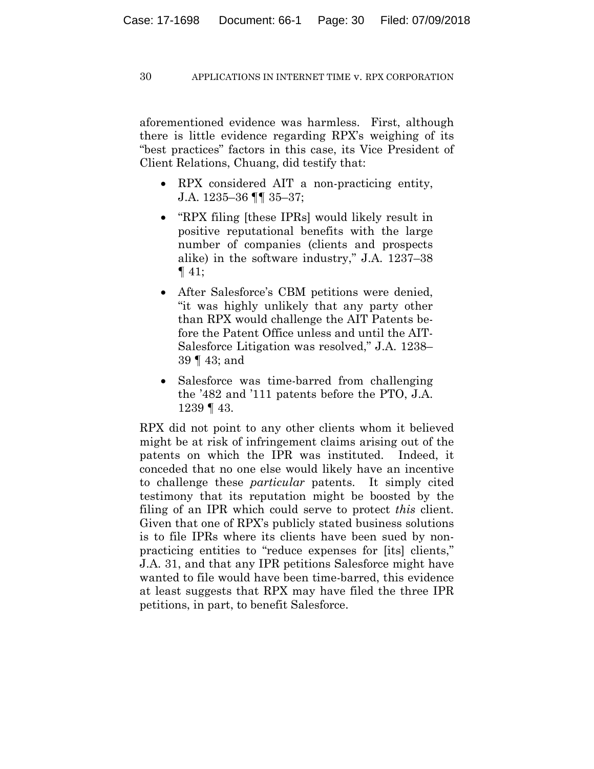aforementioned evidence was harmless. First, although there is little evidence regarding RPX's weighing of its "best practices" factors in this case, its Vice President of Client Relations, Chuang, did testify that:

- RPX considered AIT a non-practicing entity, J.A. 1235–36 ¶¶ 35–37;
- "RPX filing [these IPRs] would likely result in positive reputational benefits with the large number of companies (clients and prospects alike) in the software industry," J.A. 1237–38  $\P$  41;
- After Salesforce's CBM petitions were denied, "it was highly unlikely that any party other than RPX would challenge the AIT Patents before the Patent Office unless and until the AIT-Salesforce Litigation was resolved," J.A. 1238– 39 ¶ 43; and
- Salesforce was time-barred from challenging the '482 and '111 patents before the PTO, J.A. 1239 ¶ 43.

RPX did not point to any other clients whom it believed might be at risk of infringement claims arising out of the patents on which the IPR was instituted. Indeed, it conceded that no one else would likely have an incentive to challenge these *particular* patents. It simply cited testimony that its reputation might be boosted by the filing of an IPR which could serve to protect *this* client. Given that one of RPX's publicly stated business solutions is to file IPRs where its clients have been sued by nonpracticing entities to "reduce expenses for [its] clients," J.A. 31, and that any IPR petitions Salesforce might have wanted to file would have been time-barred, this evidence at least suggests that RPX may have filed the three IPR petitions, in part, to benefit Salesforce.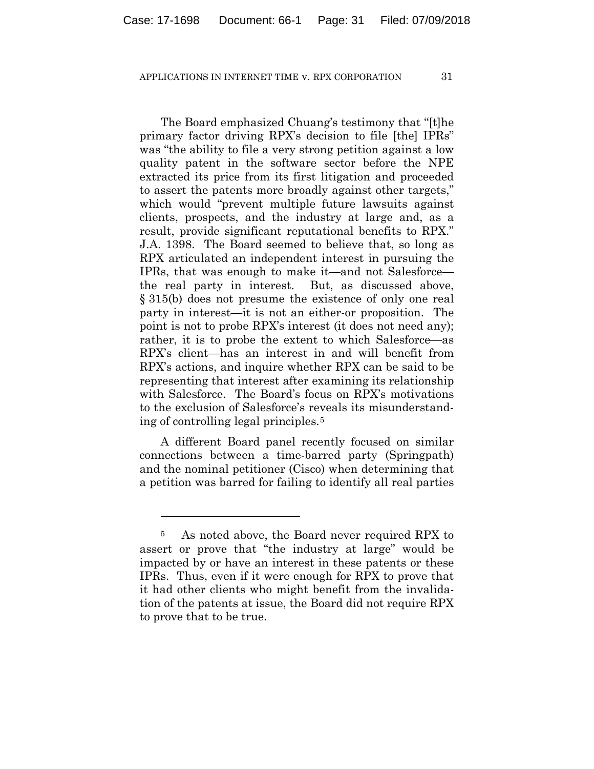The Board emphasized Chuang's testimony that "[t]he primary factor driving RPX's decision to file [the] IPRs" was "the ability to file a very strong petition against a low quality patent in the software sector before the NPE extracted its price from its first litigation and proceeded to assert the patents more broadly against other targets," which would "prevent multiple future lawsuits against clients, prospects, and the industry at large and, as a result, provide significant reputational benefits to RPX." J.A. 1398. The Board seemed to believe that, so long as RPX articulated an independent interest in pursuing the IPRs, that was enough to make it—and not Salesforce the real party in interest. But, as discussed above, § 315(b) does not presume the existence of only one real party in interest—it is not an either-or proposition. The point is not to probe RPX's interest (it does not need any); rather, it is to probe the extent to which Salesforce—as RPX's client—has an interest in and will benefit from RPX's actions, and inquire whether RPX can be said to be representing that interest after examining its relationship with Salesforce. The Board's focus on RPX's motivations to the exclusion of Salesforce's reveals its misunderstanding of controlling legal principles.5

A different Board panel recently focused on similar connections between a time-barred party (Springpath) and the nominal petitioner (Cisco) when determining that a petition was barred for failing to identify all real parties

1

<sup>5</sup> As noted above, the Board never required RPX to assert or prove that "the industry at large" would be impacted by or have an interest in these patents or these IPRs. Thus, even if it were enough for RPX to prove that it had other clients who might benefit from the invalidation of the patents at issue, the Board did not require RPX to prove that to be true.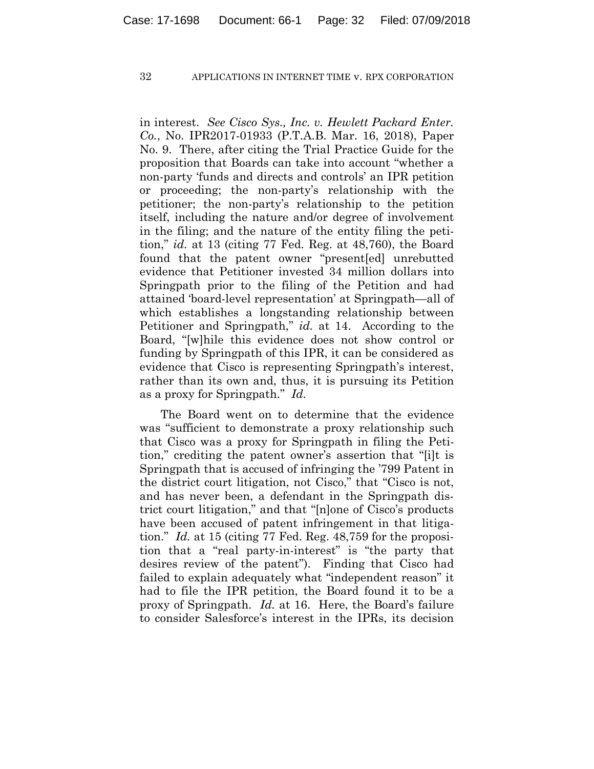in interest. *See Cisco Sys., Inc. v. Hewlett Packard Enter. Co.*, No. IPR2017-01933 (P.T.A.B. Mar. 16, 2018), Paper No. 9. There, after citing the Trial Practice Guide for the proposition that Boards can take into account "whether a non-party 'funds and directs and controls' an IPR petition or proceeding; the non-party's relationship with the petitioner; the non-party's relationship to the petition itself, including the nature and/or degree of involvement in the filing; and the nature of the entity filing the petition," *id.* at 13 (citing 77 Fed. Reg. at 48,760), the Board found that the patent owner "present[ed] unrebutted evidence that Petitioner invested 34 million dollars into Springpath prior to the filing of the Petition and had attained 'board-level representation' at Springpath—all of which establishes a longstanding relationship between Petitioner and Springpath," *id.* at 14. According to the Board, "[w]hile this evidence does not show control or funding by Springpath of this IPR, it can be considered as evidence that Cisco is representing Springpath's interest, rather than its own and, thus, it is pursuing its Petition as a proxy for Springpath." *Id.*

The Board went on to determine that the evidence was "sufficient to demonstrate a proxy relationship such that Cisco was a proxy for Springpath in filing the Petition," crediting the patent owner's assertion that "[i]t is Springpath that is accused of infringing the '799 Patent in the district court litigation, not Cisco," that "Cisco is not, and has never been, a defendant in the Springpath district court litigation," and that "[n]one of Cisco's products have been accused of patent infringement in that litigation." *Id.* at 15 (citing 77 Fed. Reg. 48,759 for the proposition that a "real party-in-interest" is "the party that desires review of the patent"). Finding that Cisco had failed to explain adequately what "independent reason" it had to file the IPR petition, the Board found it to be a proxy of Springpath. *Id.* at 16. Here, the Board's failure to consider Salesforce's interest in the IPRs, its decision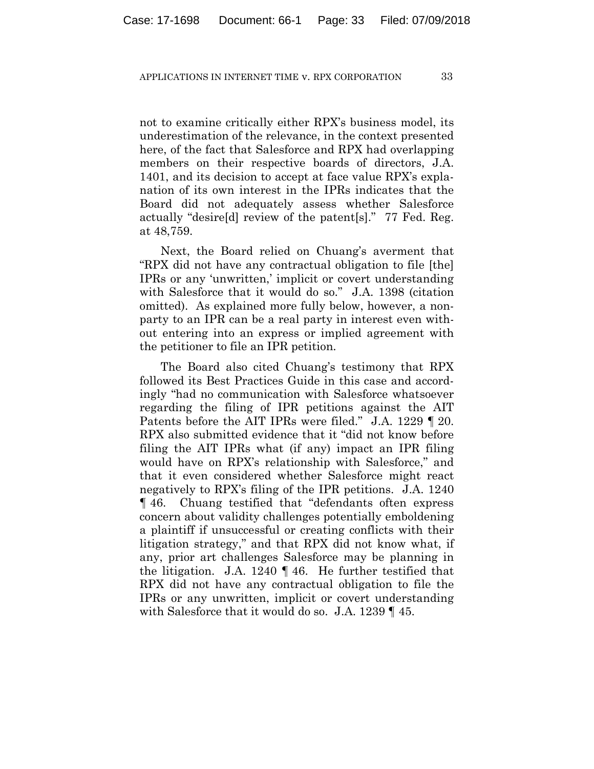not to examine critically either RPX's business model, its underestimation of the relevance, in the context presented here, of the fact that Salesforce and RPX had overlapping members on their respective boards of directors, J.A. 1401, and its decision to accept at face value RPX's explanation of its own interest in the IPRs indicates that the Board did not adequately assess whether Salesforce actually "desire[d] review of the patent[s]." 77 Fed. Reg. at 48,759.

Next, the Board relied on Chuang's averment that "RPX did not have any contractual obligation to file [the] IPRs or any 'unwritten,' implicit or covert understanding with Salesforce that it would do so." J.A. 1398 (citation omitted). As explained more fully below, however, a nonparty to an IPR can be a real party in interest even without entering into an express or implied agreement with the petitioner to file an IPR petition.

The Board also cited Chuang's testimony that RPX followed its Best Practices Guide in this case and accordingly "had no communication with Salesforce whatsoever regarding the filing of IPR petitions against the AIT Patents before the AIT IPRs were filed." J.A. 1229 ¶ 20. RPX also submitted evidence that it "did not know before filing the AIT IPRs what (if any) impact an IPR filing would have on RPX's relationship with Salesforce," and that it even considered whether Salesforce might react negatively to RPX's filing of the IPR petitions. J.A. 1240 ¶ 46. Chuang testified that "defendants often express concern about validity challenges potentially emboldening a plaintiff if unsuccessful or creating conflicts with their litigation strategy," and that RPX did not know what, if any, prior art challenges Salesforce may be planning in the litigation. J.A. 1240 ¶ 46. He further testified that RPX did not have any contractual obligation to file the IPRs or any unwritten, implicit or covert understanding with Salesforce that it would do so. J.A. 1239 ¶ 45.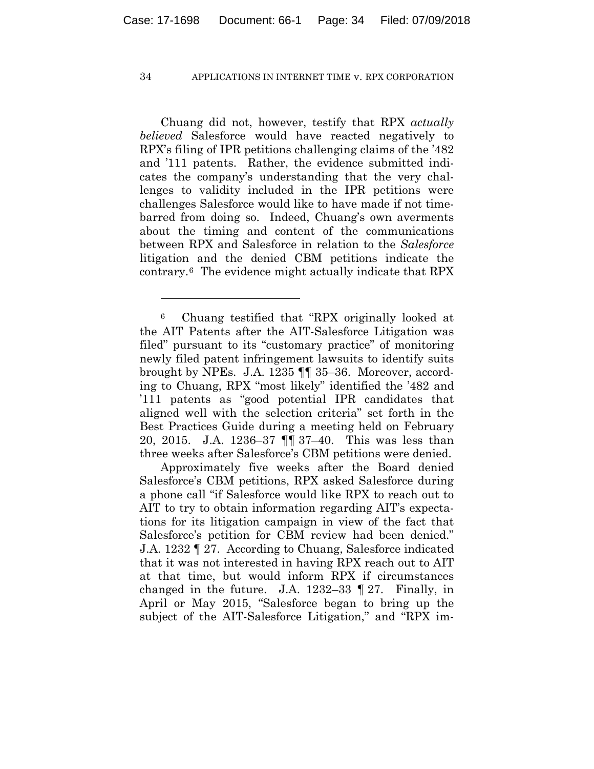Chuang did not, however, testify that RPX *actually believed* Salesforce would have reacted negatively to RPX's filing of IPR petitions challenging claims of the '482 and '111 patents. Rather, the evidence submitted indicates the company's understanding that the very challenges to validity included in the IPR petitions were challenges Salesforce would like to have made if not timebarred from doing so. Indeed, Chuang's own averments about the timing and content of the communications between RPX and Salesforce in relation to the *Salesforce* litigation and the denied CBM petitions indicate the contrary.6 The evidence might actually indicate that RPX

<u>.</u>

Approximately five weeks after the Board denied Salesforce's CBM petitions, RPX asked Salesforce during a phone call "if Salesforce would like RPX to reach out to AIT to try to obtain information regarding AIT's expectations for its litigation campaign in view of the fact that Salesforce's petition for CBM review had been denied." J.A. 1232 ¶ 27. According to Chuang, Salesforce indicated that it was not interested in having RPX reach out to AIT at that time, but would inform RPX if circumstances changed in the future. J.A. 1232–33 ¶ 27. Finally, in April or May 2015, "Salesforce began to bring up the subject of the AIT-Salesforce Litigation," and "RPX im-

<sup>6</sup> Chuang testified that "RPX originally looked at the AIT Patents after the AIT-Salesforce Litigation was filed" pursuant to its "customary practice" of monitoring newly filed patent infringement lawsuits to identify suits brought by NPEs. J.A. 1235 ¶¶ 35–36. Moreover, according to Chuang, RPX "most likely" identified the '482 and '111 patents as "good potential IPR candidates that aligned well with the selection criteria" set forth in the Best Practices Guide during a meeting held on February 20, 2015. J.A. 1236–37 ¶¶ 37–40. This was less than three weeks after Salesforce's CBM petitions were denied.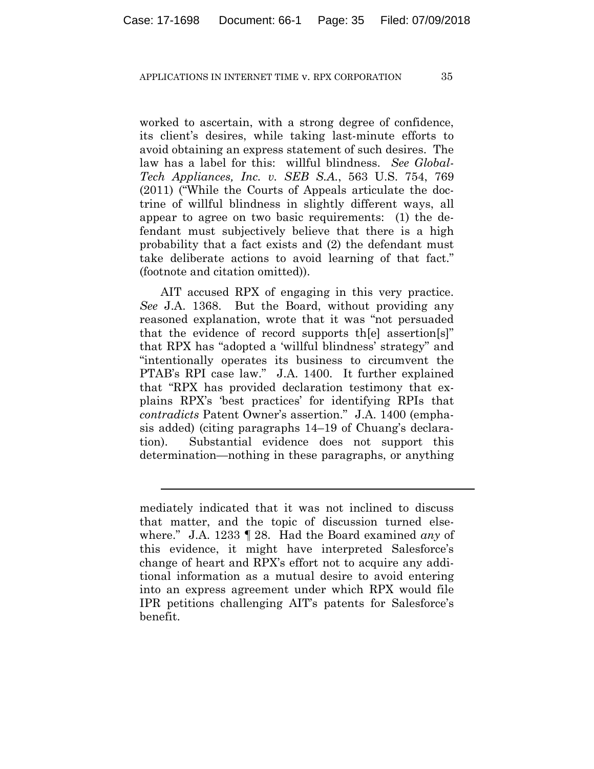worked to ascertain, with a strong degree of confidence, its client's desires, while taking last-minute efforts to avoid obtaining an express statement of such desires. The law has a label for this: willful blindness. *See Global-Tech Appliances, Inc. v. SEB S.A.*, 563 U.S. 754, 769 (2011) ("While the Courts of Appeals articulate the doctrine of willful blindness in slightly different ways, all appear to agree on two basic requirements: (1) the defendant must subjectively believe that there is a high probability that a fact exists and (2) the defendant must take deliberate actions to avoid learning of that fact." (footnote and citation omitted)).

AIT accused RPX of engaging in this very practice. *See* J.A. 1368. But the Board, without providing any reasoned explanation, wrote that it was "not persuaded that the evidence of record supports th[e] assertion[s]" that RPX has "adopted a 'willful blindness' strategy" and "intentionally operates its business to circumvent the PTAB's RPI case law." J.A. 1400. It further explained that "RPX has provided declaration testimony that explains RPX's 'best practices' for identifying RPIs that *contradicts* Patent Owner's assertion." J.A. 1400 (emphasis added) (citing paragraphs 14–19 of Chuang's declaration). Substantial evidence does not support this determination—nothing in these paragraphs, or anything

 $\overline{a}$ 

mediately indicated that it was not inclined to discuss that matter, and the topic of discussion turned elsewhere." J.A. 1233 ¶ 28. Had the Board examined *any* of this evidence, it might have interpreted Salesforce's change of heart and RPX's effort not to acquire any additional information as a mutual desire to avoid entering into an express agreement under which RPX would file IPR petitions challenging AIT's patents for Salesforce's benefit.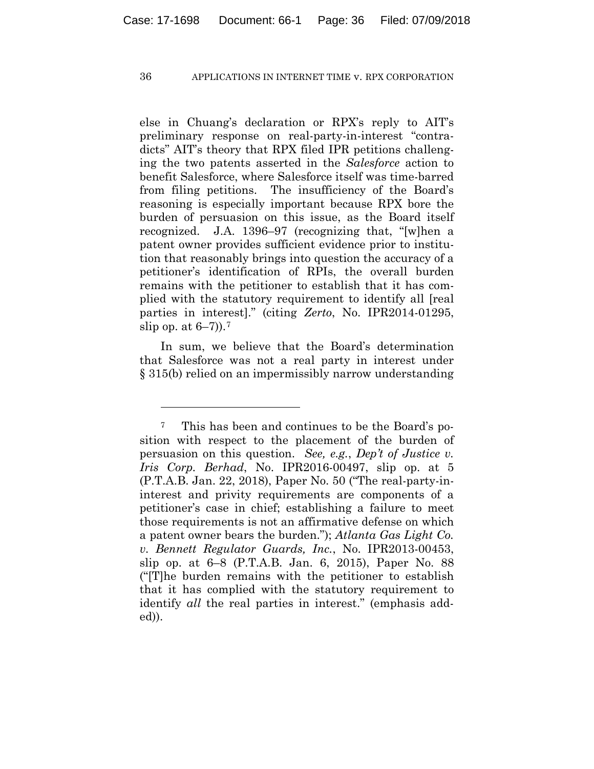else in Chuang's declaration or RPX's reply to AIT's preliminary response on real-party-in-interest "contradicts" AIT's theory that RPX filed IPR petitions challenging the two patents asserted in the *Salesforce* action to benefit Salesforce, where Salesforce itself was time-barred from filing petitions. The insufficiency of the Board's reasoning is especially important because RPX bore the burden of persuasion on this issue, as the Board itself recognized. J.A. 1396–97 (recognizing that, "[w]hen a patent owner provides sufficient evidence prior to institution that reasonably brings into question the accuracy of a petitioner's identification of RPIs, the overall burden remains with the petitioner to establish that it has complied with the statutory requirement to identify all [real parties in interest]." (citing *Zerto*, No. IPR2014-01295, slip op. at  $6-7$ ).<sup>7</sup>

In sum, we believe that the Board's determination that Salesforce was not a real party in interest under § 315(b) relied on an impermissibly narrow understanding

<u>.</u>

<sup>7</sup> This has been and continues to be the Board's position with respect to the placement of the burden of persuasion on this question. *See, e.g.*, *Dep't of Justice v. Iris Corp. Berhad*, No. IPR2016-00497, slip op. at 5 (P.T.A.B. Jan. 22, 2018), Paper No. 50 ("The real-party-ininterest and privity requirements are components of a petitioner's case in chief; establishing a failure to meet those requirements is not an affirmative defense on which a patent owner bears the burden."); *Atlanta Gas Light Co. v. Bennett Regulator Guards, Inc.*, No. IPR2013-00453, slip op. at 6–8 (P.T.A.B. Jan. 6, 2015), Paper No. 88 ("[T]he burden remains with the petitioner to establish that it has complied with the statutory requirement to identify *all* the real parties in interest." (emphasis added)).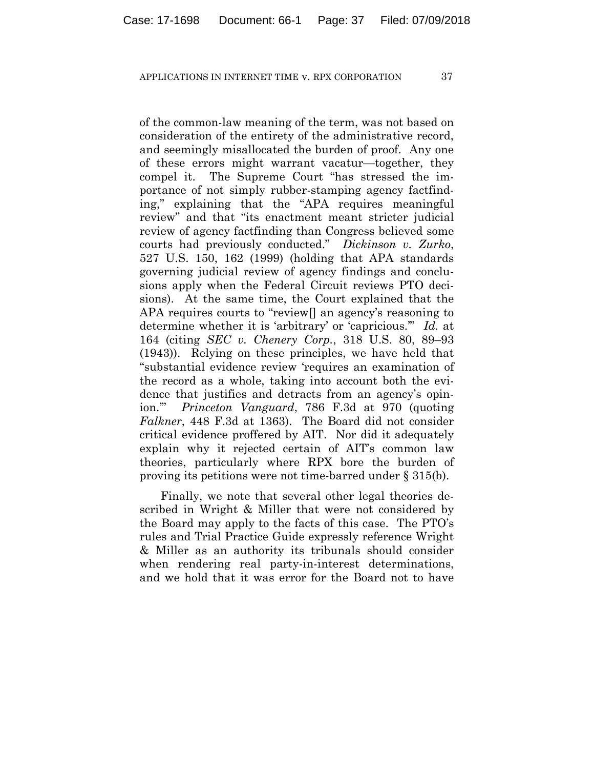of the common-law meaning of the term, was not based on consideration of the entirety of the administrative record, and seemingly misallocated the burden of proof. Any one of these errors might warrant vacatur—together, they compel it. The Supreme Court "has stressed the importance of not simply rubber-stamping agency factfinding," explaining that the "APA requires meaningful review" and that "its enactment meant stricter judicial review of agency factfinding than Congress believed some courts had previously conducted." *Dickinson v. Zurko*, 527 U.S. 150, 162 (1999) (holding that APA standards governing judicial review of agency findings and conclusions apply when the Federal Circuit reviews PTO decisions). At the same time, the Court explained that the APA requires courts to "review[] an agency's reasoning to determine whether it is 'arbitrary' or 'capricious.'" *Id.* at 164 (citing *SEC v. Chenery Corp.*, 318 U.S. 80, 89–93 (1943)). Relying on these principles, we have held that "substantial evidence review 'requires an examination of the record as a whole, taking into account both the evidence that justifies and detracts from an agency's opinion.'" *Princeton Vanguard*, 786 F.3d at 970 (quoting *Falkner*, 448 F.3d at 1363). The Board did not consider critical evidence proffered by AIT. Nor did it adequately explain why it rejected certain of AIT's common law theories, particularly where RPX bore the burden of proving its petitions were not time-barred under § 315(b).

Finally, we note that several other legal theories described in Wright & Miller that were not considered by the Board may apply to the facts of this case. The PTO's rules and Trial Practice Guide expressly reference Wright & Miller as an authority its tribunals should consider when rendering real party-in-interest determinations, and we hold that it was error for the Board not to have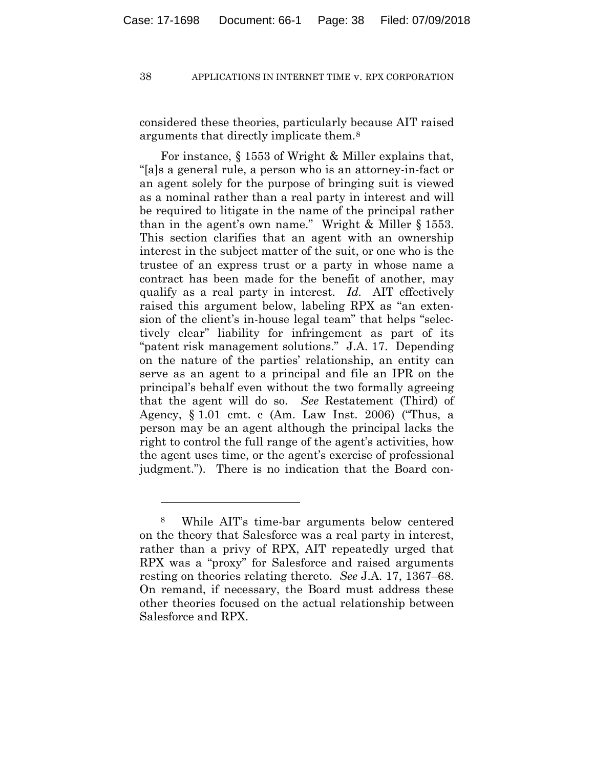considered these theories, particularly because AIT raised arguments that directly implicate them.8

For instance, § 1553 of Wright & Miller explains that, "[a]s a general rule, a person who is an attorney-in-fact or an agent solely for the purpose of bringing suit is viewed as a nominal rather than a real party in interest and will be required to litigate in the name of the principal rather than in the agent's own name." Wright & Miller § 1553. This section clarifies that an agent with an ownership interest in the subject matter of the suit, or one who is the trustee of an express trust or a party in whose name a contract has been made for the benefit of another, may qualify as a real party in interest. *Id.* AIT effectively raised this argument below, labeling RPX as "an extension of the client's in-house legal team" that helps "selectively clear" liability for infringement as part of its "patent risk management solutions." J.A. 17. Depending on the nature of the parties' relationship, an entity can serve as an agent to a principal and file an IPR on the principal's behalf even without the two formally agreeing that the agent will do so. *See* Restatement (Third) of Agency, § 1.01 cmt. c (Am. Law Inst. 2006) ("Thus, a person may be an agent although the principal lacks the right to control the full range of the agent's activities, how the agent uses time, or the agent's exercise of professional judgment."). There is no indication that the Board con-

<u>.</u>

<sup>8</sup> While AIT's time-bar arguments below centered on the theory that Salesforce was a real party in interest, rather than a privy of RPX, AIT repeatedly urged that RPX was a "proxy" for Salesforce and raised arguments resting on theories relating thereto. *See* J.A. 17, 1367–68. On remand, if necessary, the Board must address these other theories focused on the actual relationship between Salesforce and RPX.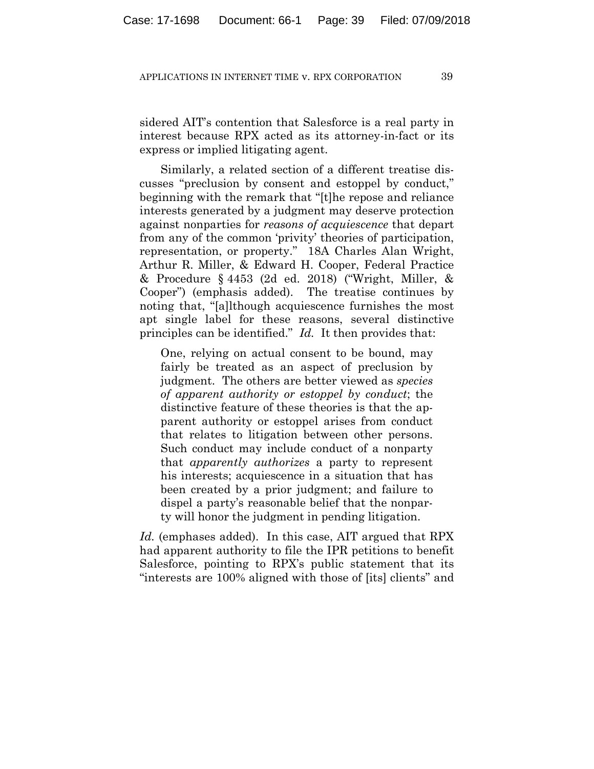sidered AIT's contention that Salesforce is a real party in interest because RPX acted as its attorney-in-fact or its express or implied litigating agent.

Similarly, a related section of a different treatise discusses "preclusion by consent and estoppel by conduct," beginning with the remark that "[t]he repose and reliance interests generated by a judgment may deserve protection against nonparties for *reasons of acquiescence* that depart from any of the common 'privity' theories of participation, representation, or property." 18A Charles Alan Wright, Arthur R. Miller, & Edward H. Cooper, Federal Practice & Procedure § 4453 (2d ed. 2018) ("Wright, Miller, & Cooper") (emphasis added). The treatise continues by noting that, "[a]lthough acquiescence furnishes the most apt single label for these reasons, several distinctive principles can be identified." *Id.* It then provides that:

One, relying on actual consent to be bound, may fairly be treated as an aspect of preclusion by judgment. The others are better viewed as *species of apparent authority or estoppel by conduct*; the distinctive feature of these theories is that the apparent authority or estoppel arises from conduct that relates to litigation between other persons. Such conduct may include conduct of a nonparty that *apparently authorizes* a party to represent his interests; acquiescence in a situation that has been created by a prior judgment; and failure to dispel a party's reasonable belief that the nonparty will honor the judgment in pending litigation.

*Id.* (emphases added). In this case, AIT argued that RPX had apparent authority to file the IPR petitions to benefit Salesforce, pointing to RPX's public statement that its "interests are 100% aligned with those of [its] clients" and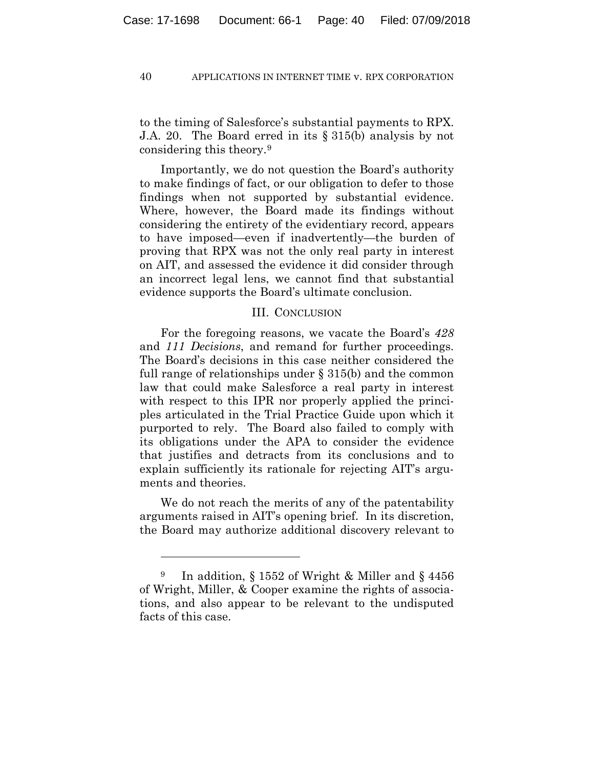to the timing of Salesforce's substantial payments to RPX. J.A. 20. The Board erred in its § 315(b) analysis by not considering this theory.9

Importantly, we do not question the Board's authority to make findings of fact, or our obligation to defer to those findings when not supported by substantial evidence. Where, however, the Board made its findings without considering the entirety of the evidentiary record, appears to have imposed—even if inadvertently—the burden of proving that RPX was not the only real party in interest on AIT, and assessed the evidence it did consider through an incorrect legal lens, we cannot find that substantial evidence supports the Board's ultimate conclusion.

## III. CONCLUSION

For the foregoing reasons, we vacate the Board's *428*  and *111 Decisions*, and remand for further proceedings. The Board's decisions in this case neither considered the full range of relationships under § 315(b) and the common law that could make Salesforce a real party in interest with respect to this IPR nor properly applied the principles articulated in the Trial Practice Guide upon which it purported to rely. The Board also failed to comply with its obligations under the APA to consider the evidence that justifies and detracts from its conclusions and to explain sufficiently its rationale for rejecting AIT's arguments and theories.

We do not reach the merits of any of the patentability arguments raised in AIT's opening brief. In its discretion, the Board may authorize additional discovery relevant to

1

<sup>9</sup> In addition, § 1552 of Wright & Miller and § 4456 of Wright, Miller, & Cooper examine the rights of associations, and also appear to be relevant to the undisputed facts of this case.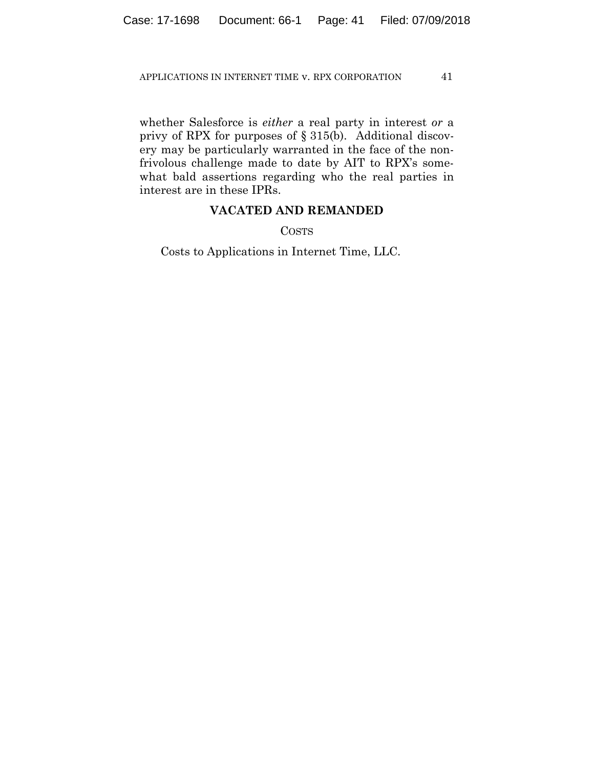whether Salesforce is *either* a real party in interest *or* a privy of RPX for purposes of § 315(b). Additional discovery may be particularly warranted in the face of the nonfrivolous challenge made to date by AIT to RPX's somewhat bald assertions regarding who the real parties in interest are in these IPRs.

# **VACATED AND REMANDED**

COSTS

Costs to Applications in Internet Time, LLC.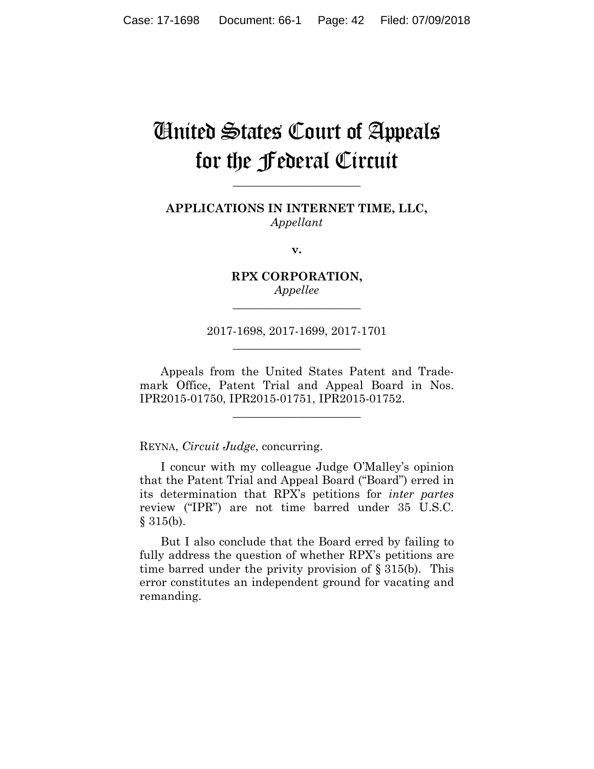# United States Court of Appeals for the Federal Circuit

**APPLICATIONS IN INTERNET TIME, LLC,** *Appellant*

**\_\_\_\_\_\_\_\_\_\_\_\_\_\_\_\_\_\_\_\_\_\_** 

**v.**

**RPX CORPORATION,** *Appellee*

**\_\_\_\_\_\_\_\_\_\_\_\_\_\_\_\_\_\_\_\_\_\_** 

2017-1698, 2017-1699, 2017-1701 **\_\_\_\_\_\_\_\_\_\_\_\_\_\_\_\_\_\_\_\_\_\_** 

Appeals from the United States Patent and Trademark Office, Patent Trial and Appeal Board in Nos. IPR2015-01750, IPR2015-01751, IPR2015-01752.

**\_\_\_\_\_\_\_\_\_\_\_\_\_\_\_\_\_\_\_\_\_\_** 

REYNA, *Circuit Judge*, concurring.

I concur with my colleague Judge O'Malley's opinion that the Patent Trial and Appeal Board ("Board") erred in its determination that RPX's petitions for *inter partes* review ("IPR") are not time barred under 35 U.S.C.  $§ 315(b).$ 

But I also conclude that the Board erred by failing to fully address the question of whether RPX's petitions are time barred under the privity provision of  $\S 315(b)$ . This error constitutes an independent ground for vacating and remanding.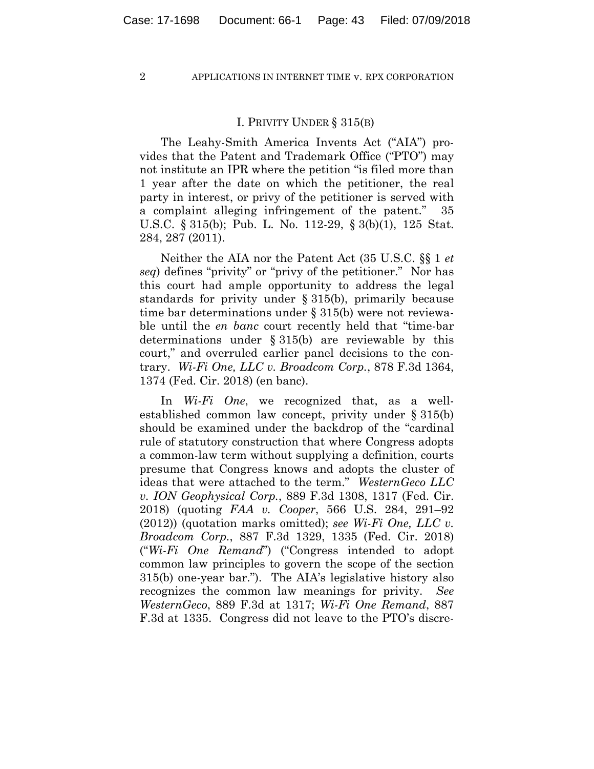## I. PRIVITY UNDER § 315(B)

The Leahy-Smith America Invents Act ("AIA") provides that the Patent and Trademark Office ("PTO") may not institute an IPR where the petition "is filed more than 1 year after the date on which the petitioner, the real party in interest, or privy of the petitioner is served with a complaint alleging infringement of the patent." 35 U.S.C. § 315(b); Pub. L. No. 112-29, § 3(b)(1), 125 Stat. 284, 287 (2011).

Neither the AIA nor the Patent Act (35 U.S.C. §§ 1 *et seq*) defines "privity" or "privy of the petitioner." Nor has this court had ample opportunity to address the legal standards for privity under § 315(b), primarily because time bar determinations under § 315(b) were not reviewable until the *en banc* court recently held that "time-bar determinations under § 315(b) are reviewable by this court," and overruled earlier panel decisions to the contrary. *Wi-Fi One, LLC v. Broadcom Corp.*, 878 F.3d 1364, 1374 (Fed. Cir. 2018) (en banc).

In *Wi-Fi One*, we recognized that, as a wellestablished common law concept, privity under § 315(b) should be examined under the backdrop of the "cardinal rule of statutory construction that where Congress adopts a common-law term without supplying a definition, courts presume that Congress knows and adopts the cluster of ideas that were attached to the term." *WesternGeco LLC v. ION Geophysical Corp.*, 889 F.3d 1308, 1317 (Fed. Cir. 2018) (quoting *FAA v. Cooper*, 566 U.S. 284, 291–92 (2012)) (quotation marks omitted); *see Wi-Fi One, LLC v. Broadcom Corp.*, 887 F.3d 1329, 1335 (Fed. Cir. 2018) ("*Wi-Fi One Remand*") ("Congress intended to adopt common law principles to govern the scope of the section 315(b) one-year bar."). The AIA's legislative history also recognizes the common law meanings for privity. *See WesternGeco*, 889 F.3d at 1317; *Wi-Fi One Remand*, 887 F.3d at 1335. Congress did not leave to the PTO's discre-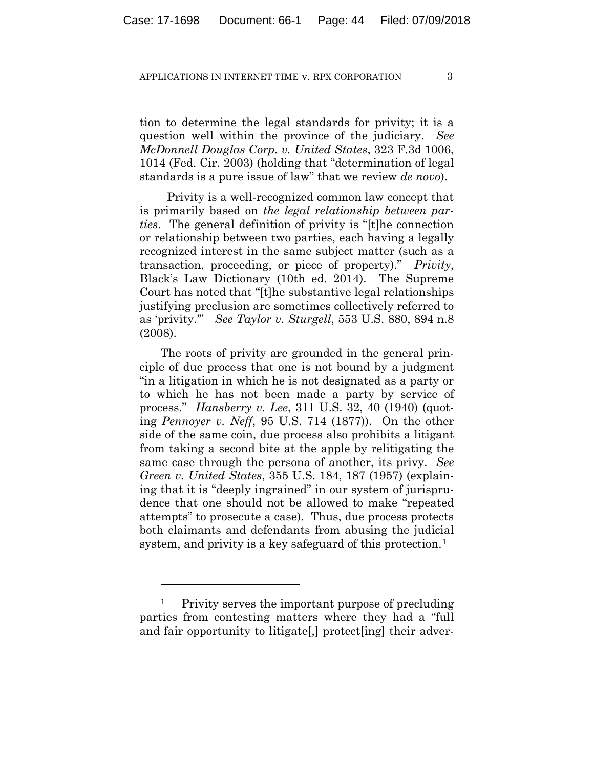tion to determine the legal standards for privity; it is a question well within the province of the judiciary. *See McDonnell Douglas Corp. v. United States*, 323 F.3d 1006, 1014 (Fed. Cir. 2003) (holding that "determination of legal standards is a pure issue of law" that we review *de novo*).

 Privity is a well-recognized common law concept that is primarily based on *the legal relationship between parties*. The general definition of privity is "[t]he connection or relationship between two parties, each having a legally recognized interest in the same subject matter (such as a transaction, proceeding, or piece of property)." *Privity*, Black's Law Dictionary (10th ed. 2014). The Supreme Court has noted that "[t]he substantive legal relationships justifying preclusion are sometimes collectively referred to as 'privity.'" *See Taylor v. Sturgell*, 553 U.S. 880, 894 n.8 (2008).

The roots of privity are grounded in the general principle of due process that one is not bound by a judgment "in a litigation in which he is not designated as a party or to which he has not been made a party by service of process." *Hansberry v. Lee*, 311 U.S. 32, 40 (1940) (quoting *Pennoyer v. Neff*, 95 U.S. 714 (1877)). On the other side of the same coin, due process also prohibits a litigant from taking a second bite at the apple by relitigating the same case through the persona of another, its privy. *See Green v. United States*, 355 U.S. 184, 187 (1957) (explaining that it is "deeply ingrained" in our system of jurisprudence that one should not be allowed to make "repeated attempts" to prosecute a case). Thus, due process protects both claimants and defendants from abusing the judicial system, and privity is a key safeguard of this protection.<sup>1</sup>

1

<sup>1</sup> Privity serves the important purpose of precluding parties from contesting matters where they had a "full and fair opportunity to litigate[,] protect[ing] their adver-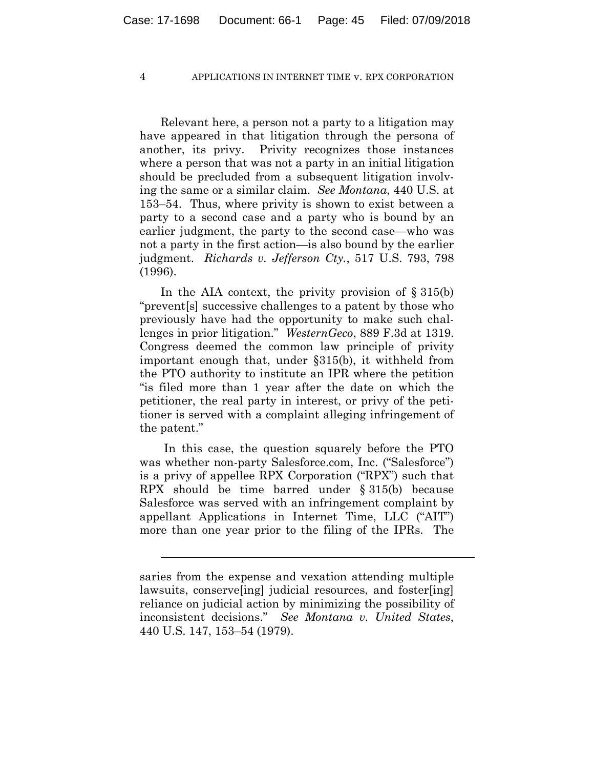Relevant here, a person not a party to a litigation may have appeared in that litigation through the persona of another, its privy. Privity recognizes those instances where a person that was not a party in an initial litigation should be precluded from a subsequent litigation involving the same or a similar claim. *See Montana*, 440 U.S. at 153–54. Thus, where privity is shown to exist between a party to a second case and a party who is bound by an earlier judgment, the party to the second case—who was not a party in the first action—is also bound by the earlier judgment. *Richards v. Jefferson Cty.*, 517 U.S. 793, 798 (1996).

In the AIA context, the privity provision of  $\S 315(b)$ "prevent[s] successive challenges to a patent by those who previously have had the opportunity to make such challenges in prior litigation." *WesternGeco*, 889 F.3d at 1319. Congress deemed the common law principle of privity important enough that, under §315(b), it withheld from the PTO authority to institute an IPR where the petition "is filed more than 1 year after the date on which the petitioner, the real party in interest, or privy of the petitioner is served with a complaint alleging infringement of the patent."

In this case, the question squarely before the PTO was whether non-party Salesforce.com, Inc. ("Salesforce") is a privy of appellee RPX Corporation ("RPX") such that RPX should be time barred under § 315(b) because Salesforce was served with an infringement complaint by appellant Applications in Internet Time, LLC ("AIT") more than one year prior to the filing of the IPRs. The

l

saries from the expense and vexation attending multiple lawsuits, conserve[ing] judicial resources, and foster[ing] reliance on judicial action by minimizing the possibility of inconsistent decisions." *See Montana v. United States*, 440 U.S. 147, 153–54 (1979).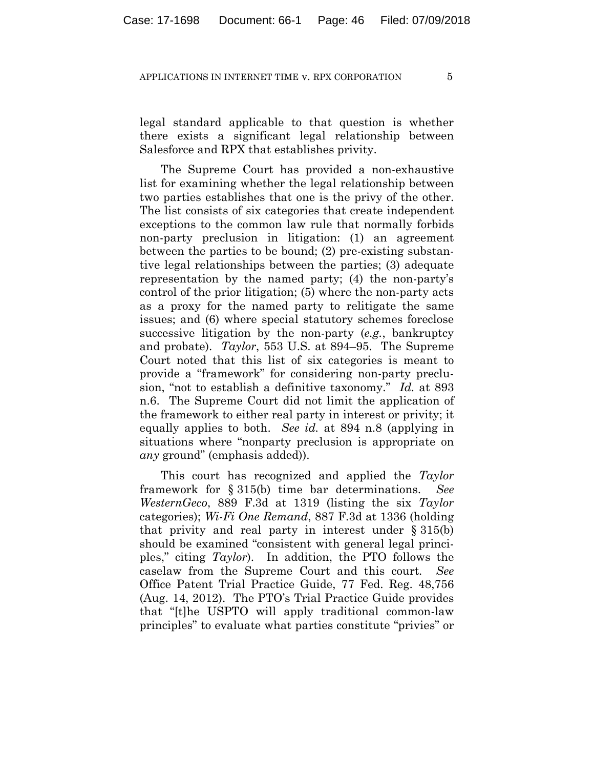legal standard applicable to that question is whether there exists a significant legal relationship between Salesforce and RPX that establishes privity.

The Supreme Court has provided a non-exhaustive list for examining whether the legal relationship between two parties establishes that one is the privy of the other. The list consists of six categories that create independent exceptions to the common law rule that normally forbids non-party preclusion in litigation: (1) an agreement between the parties to be bound; (2) pre-existing substantive legal relationships between the parties; (3) adequate representation by the named party; (4) the non-party's control of the prior litigation; (5) where the non-party acts as a proxy for the named party to relitigate the same issues; and (6) where special statutory schemes foreclose successive litigation by the non-party (*e.g.*, bankruptcy and probate). *Taylor*, 553 U.S. at 894–95. The Supreme Court noted that this list of six categories is meant to provide a "framework" for considering non-party preclusion, "not to establish a definitive taxonomy." *Id.* at 893 n.6. The Supreme Court did not limit the application of the framework to either real party in interest or privity; it equally applies to both. *See id.* at 894 n.8 (applying in situations where "nonparty preclusion is appropriate on *any* ground" (emphasis added)).

This court has recognized and applied the *Taylor* framework for § 315(b) time bar determinations. *See WesternGeco*, 889 F.3d at 1319 (listing the six *Taylor* categories); *Wi-Fi One Remand*, 887 F.3d at 1336 (holding that privity and real party in interest under § 315(b) should be examined "consistent with general legal principles," citing *Taylor*). In addition, the PTO follows the caselaw from the Supreme Court and this court*. See* Office Patent Trial Practice Guide, 77 Fed. Reg. 48,756 (Aug. 14, 2012). The PTO's Trial Practice Guide provides that "[t]he USPTO will apply traditional common-law principles" to evaluate what parties constitute "privies" or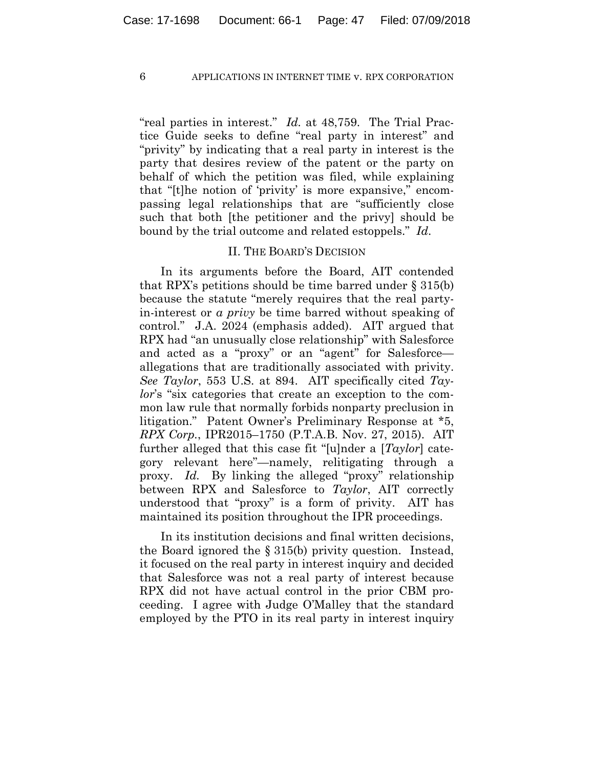"real parties in interest." *Id.* at 48,759. The Trial Practice Guide seeks to define "real party in interest" and "privity" by indicating that a real party in interest is the party that desires review of the patent or the party on behalf of which the petition was filed, while explaining that "[t]he notion of 'privity' is more expansive," encompassing legal relationships that are "sufficiently close such that both [the petitioner and the privy] should be bound by the trial outcome and related estoppels." *Id*.

## II. THE BOARD'S DECISION

In its arguments before the Board, AIT contended that RPX's petitions should be time barred under § 315(b) because the statute "merely requires that the real partyin-interest or *a privy* be time barred without speaking of control." J.A. 2024 (emphasis added). AIT argued that RPX had "an unusually close relationship" with Salesforce and acted as a "proxy" or an "agent" for Salesforce allegations that are traditionally associated with privity. *See Taylor*, 553 U.S. at 894. AIT specifically cited *Taylor*'s "six categories that create an exception to the common law rule that normally forbids nonparty preclusion in litigation." Patent Owner's Preliminary Response at \*5, *RPX Corp.*, IPR2015–1750 (P.T.A.B. Nov. 27, 2015). AIT further alleged that this case fit "[u]nder a [*Taylor*] category relevant here"—namely, relitigating through a proxy. *Id.* By linking the alleged "proxy" relationship between RPX and Salesforce to *Taylor*, AIT correctly understood that "proxy" is a form of privity. AIT has maintained its position throughout the IPR proceedings.

In its institution decisions and final written decisions, the Board ignored the § 315(b) privity question. Instead, it focused on the real party in interest inquiry and decided that Salesforce was not a real party of interest because RPX did not have actual control in the prior CBM proceeding. I agree with Judge O'Malley that the standard employed by the PTO in its real party in interest inquiry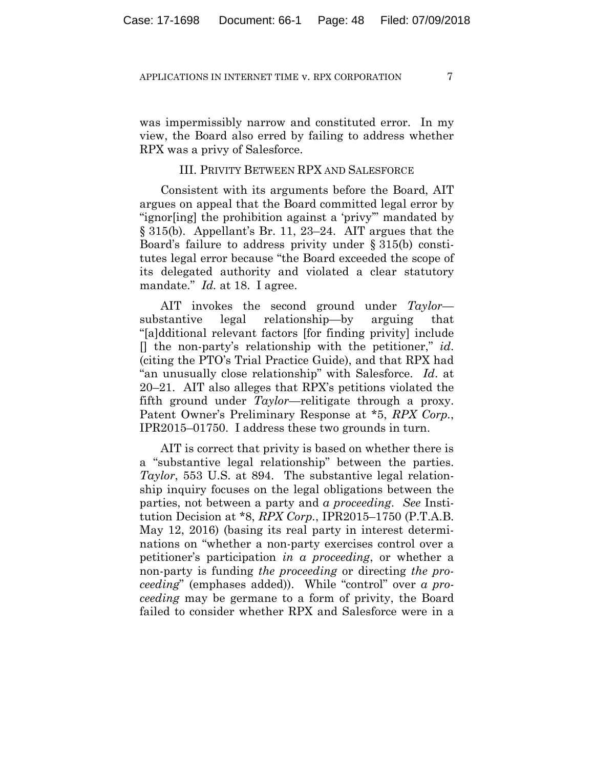was impermissibly narrow and constituted error. In my view, the Board also erred by failing to address whether RPX was a privy of Salesforce.

## III. PRIVITY BETWEEN RPX AND SALESFORCE

Consistent with its arguments before the Board, AIT argues on appeal that the Board committed legal error by "ignor[ing] the prohibition against a 'privy'" mandated by § 315(b). Appellant's Br. 11, 23–24. AIT argues that the Board's failure to address privity under § 315(b) constitutes legal error because "the Board exceeded the scope of its delegated authority and violated a clear statutory mandate." *Id.* at 18. I agree.

AIT invokes the second ground under *Taylor* substantive legal relationship—by arguing that "[a]dditional relevant factors [for finding privity] include [] the non-party's relationship with the petitioner," *id*. (citing the PTO's Trial Practice Guide), and that RPX had "an unusually close relationship" with Salesforce. *Id*. at 20–21. AIT also alleges that RPX's petitions violated the fifth ground under *Taylor*—relitigate through a proxy. Patent Owner's Preliminary Response at \*5, *RPX Corp.*, IPR2015–01750. I address these two grounds in turn.

AIT is correct that privity is based on whether there is a "substantive legal relationship" between the parties. *Taylor*, 553 U.S. at 894. The substantive legal relationship inquiry focuses on the legal obligations between the parties, not between a party and *a proceeding*. *See* Institution Decision at \*8, *RPX Corp.*, IPR2015–1750 (P.T.A.B. May 12, 2016) (basing its real party in interest determinations on "whether a non-party exercises control over a petitioner's participation *in a proceeding*, or whether a non-party is funding *the proceeding* or directing *the proceeding*" (emphases added)). While "control" over *a proceeding* may be germane to a form of privity, the Board failed to consider whether RPX and Salesforce were in a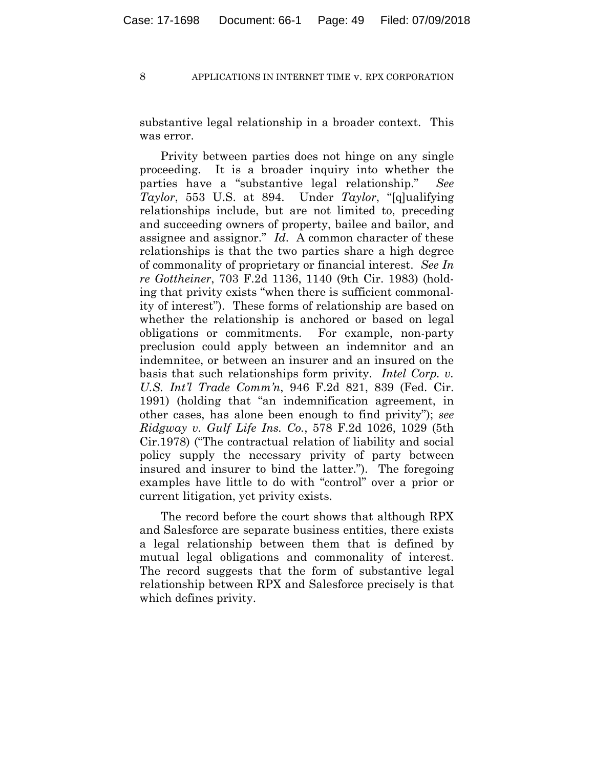substantive legal relationship in a broader context. This was error.

Privity between parties does not hinge on any single proceeding. It is a broader inquiry into whether the parties have a "substantive legal relationship." *See Taylor*, 553 U.S. at 894. Under *Taylor*, "[q]ualifying relationships include, but are not limited to, preceding and succeeding owners of property, bailee and bailor, and assignee and assignor." *Id*. A common character of these relationships is that the two parties share a high degree of commonality of proprietary or financial interest. *See In re Gottheiner*, 703 F.2d 1136, 1140 (9th Cir. 1983) (holding that privity exists "when there is sufficient commonality of interest"). These forms of relationship are based on whether the relationship is anchored or based on legal obligations or commitments. For example, non-party preclusion could apply between an indemnitor and an indemnitee, or between an insurer and an insured on the basis that such relationships form privity. *Intel Corp. v. U.S. Int'l Trade Comm'n*, 946 F.2d 821, 839 (Fed. Cir. 1991) (holding that "an indemnification agreement, in other cases, has alone been enough to find privity"); *see Ridgway v. Gulf Life Ins. Co.*, 578 F.2d 1026, 1029 (5th Cir.1978) ("The contractual relation of liability and social policy supply the necessary privity of party between insured and insurer to bind the latter."). The foregoing examples have little to do with "control" over a prior or current litigation, yet privity exists.

The record before the court shows that although RPX and Salesforce are separate business entities, there exists a legal relationship between them that is defined by mutual legal obligations and commonality of interest. The record suggests that the form of substantive legal relationship between RPX and Salesforce precisely is that which defines privity.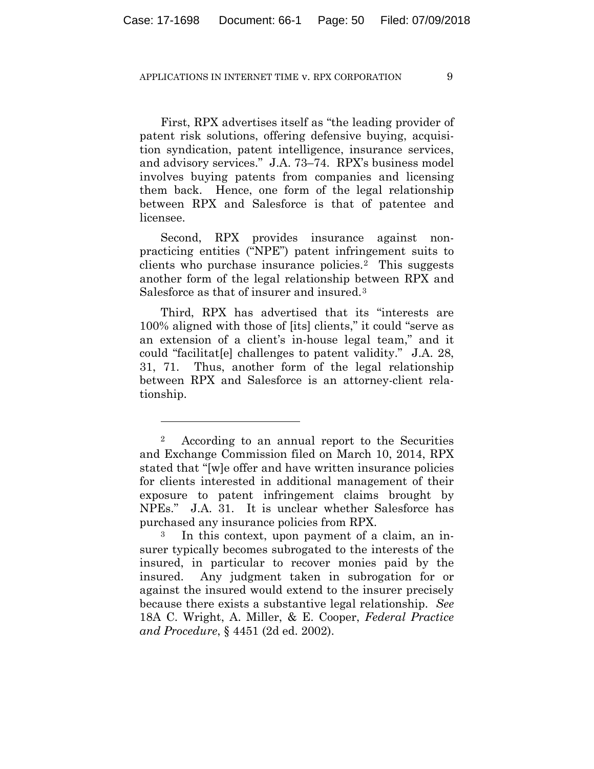First, RPX advertises itself as "the leading provider of patent risk solutions, offering defensive buying, acquisition syndication, patent intelligence, insurance services, and advisory services." J.A. 73–74. RPX's business model involves buying patents from companies and licensing them back. Hence, one form of the legal relationship between RPX and Salesforce is that of patentee and licensee.

Second, RPX provides insurance against nonpracticing entities ("NPE") patent infringement suits to clients who purchase insurance policies.2 This suggests another form of the legal relationship between RPX and Salesforce as that of insurer and insured.<sup>3</sup>

Third, RPX has advertised that its "interests are 100% aligned with those of [its] clients," it could "serve as an extension of a client's in-house legal team," and it could "facilitat[e] challenges to patent validity." J.A. 28, 31, 71. Thus, another form of the legal relationship between RPX and Salesforce is an attorney-client relationship.

1

<sup>2</sup> According to an annual report to the Securities and Exchange Commission filed on March 10, 2014, RPX stated that "[w]e offer and have written insurance policies for clients interested in additional management of their exposure to patent infringement claims brought by NPEs." J.A. 31. It is unclear whether Salesforce has purchased any insurance policies from RPX.

<sup>3</sup> In this context, upon payment of a claim, an insurer typically becomes subrogated to the interests of the insured, in particular to recover monies paid by the insured. Any judgment taken in subrogation for or against the insured would extend to the insurer precisely because there exists a substantive legal relationship. *See* 18A C. Wright, A. Miller, & E. Cooper, *Federal Practice and Procedure*, § 4451 (2d ed. 2002).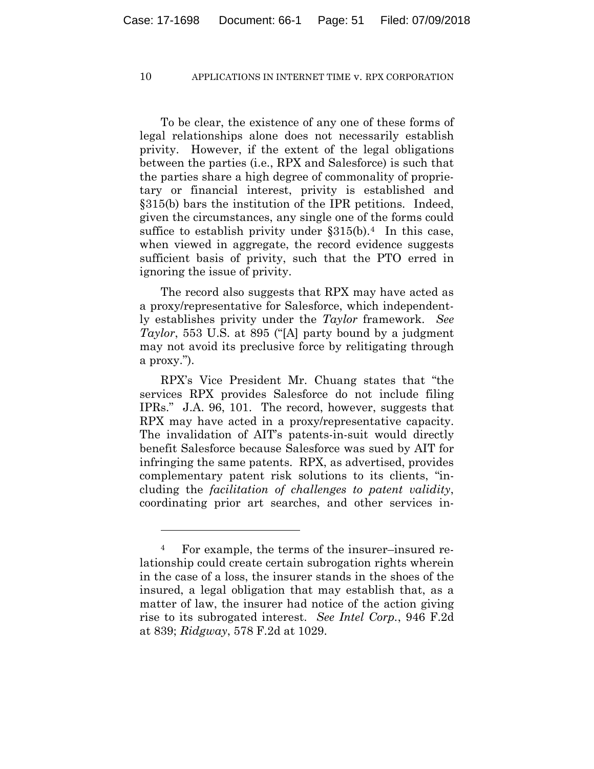To be clear, the existence of any one of these forms of legal relationships alone does not necessarily establish privity. However, if the extent of the legal obligations between the parties (i.e., RPX and Salesforce) is such that the parties share a high degree of commonality of proprietary or financial interest, privity is established and §315(b) bars the institution of the IPR petitions. Indeed, given the circumstances, any single one of the forms could suffice to establish privity under  $\S 315(b)$ .<sup>4</sup> In this case, when viewed in aggregate, the record evidence suggests sufficient basis of privity, such that the PTO erred in ignoring the issue of privity.

The record also suggests that RPX may have acted as a proxy/representative for Salesforce, which independently establishes privity under the *Taylor* framework. *See Taylor*, 553 U.S. at 895 ("[A] party bound by a judgment may not avoid its preclusive force by relitigating through a proxy.").

RPX's Vice President Mr. Chuang states that "the services RPX provides Salesforce do not include filing IPRs." J.A. 96, 101. The record, however, suggests that RPX may have acted in a proxy/representative capacity. The invalidation of AIT's patents-in-suit would directly benefit Salesforce because Salesforce was sued by AIT for infringing the same patents. RPX, as advertised, provides complementary patent risk solutions to its clients, "including the *facilitation of challenges to patent validity*, coordinating prior art searches, and other services in-

<u>.</u>

<sup>4</sup> For example, the terms of the insurer–insured relationship could create certain subrogation rights wherein in the case of a loss, the insurer stands in the shoes of the insured, a legal obligation that may establish that, as a matter of law, the insurer had notice of the action giving rise to its subrogated interest. *See Intel Corp.*, 946 F.2d at 839; *Ridgway*, 578 F.2d at 1029.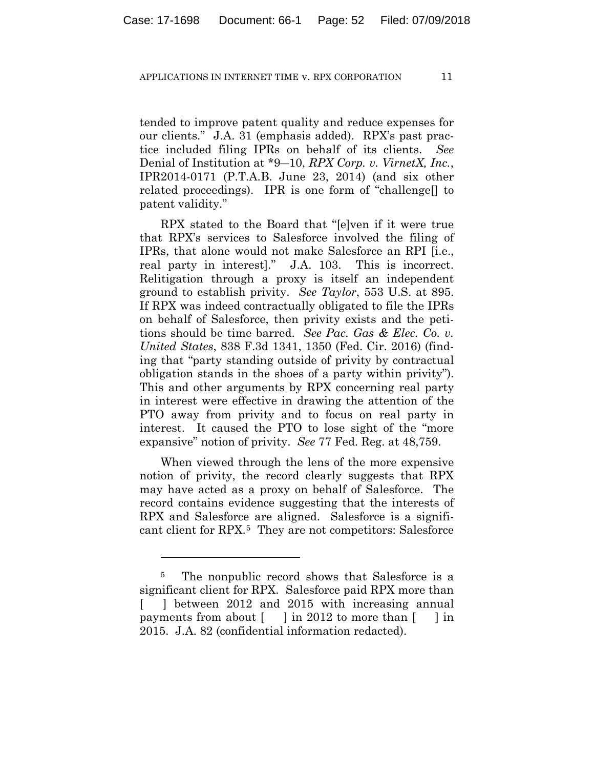tended to improve patent quality and reduce expenses for our clients." J.A. 31 (emphasis added). RPX's past practice included filing IPRs on behalf of its clients. *See*  Denial of Institution at \*9―10, *RPX Corp. v. VirnetX, Inc.*, IPR2014-0171 (P.T.A.B. June 23, 2014) (and six other related proceedings). IPR is one form of "challenge[] to patent validity."

RPX stated to the Board that "[e]ven if it were true that RPX's services to Salesforce involved the filing of IPRs, that alone would not make Salesforce an RPI [i.e., real party in interest]." J.A. 103. This is incorrect. Relitigation through a proxy is itself an independent ground to establish privity. *See Taylor*, 553 U.S. at 895. If RPX was indeed contractually obligated to file the IPRs on behalf of Salesforce, then privity exists and the petitions should be time barred. *See Pac. Gas & Elec. Co. v. United States*, 838 F.3d 1341, 1350 (Fed. Cir. 2016) (finding that "party standing outside of privity by contractual obligation stands in the shoes of a party within privity"). This and other arguments by RPX concerning real party in interest were effective in drawing the attention of the PTO away from privity and to focus on real party in interest. It caused the PTO to lose sight of the "more expansive" notion of privity. *See* 77 Fed. Reg. at 48,759.

When viewed through the lens of the more expensive notion of privity, the record clearly suggests that RPX may have acted as a proxy on behalf of Salesforce. The record contains evidence suggesting that the interests of RPX and Salesforce are aligned. Salesforce is a significant client for RPX.5 They are not competitors: Salesforce

1

<sup>&</sup>lt;sup>5</sup> The nonpublic record shows that Salesforce is a significant client for RPX. Salesforce paid RPX more than [ ] between 2012 and 2015 with increasing annual payments from about  $\lceil \cdot \rceil$  in 2012 to more than  $\lceil \cdot \rceil$  in 2015. J.A. 82 (confidential information redacted).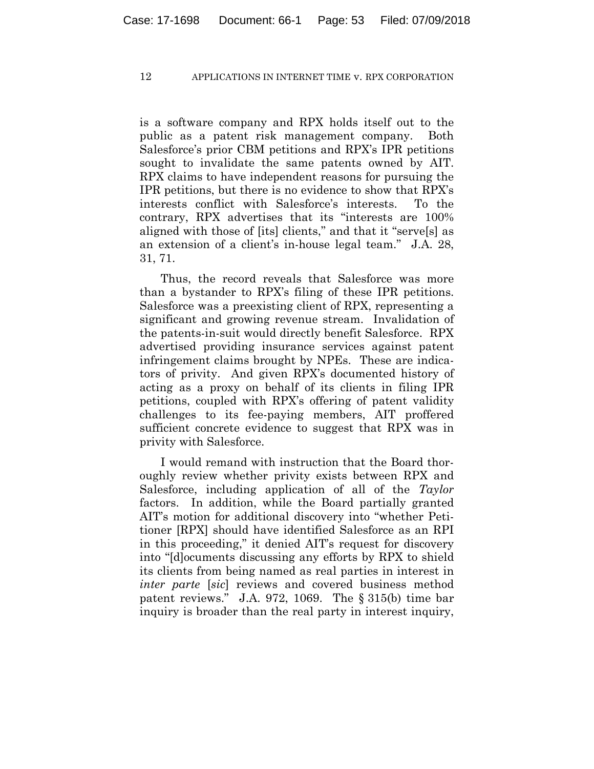is a software company and RPX holds itself out to the public as a patent risk management company. Both Salesforce's prior CBM petitions and RPX's IPR petitions sought to invalidate the same patents owned by AIT. RPX claims to have independent reasons for pursuing the IPR petitions, but there is no evidence to show that RPX's interests conflict with Salesforce's interests. To the contrary, RPX advertises that its "interests are 100% aligned with those of [its] clients," and that it "serve[s] as an extension of a client's in-house legal team." J.A. 28, 31, 71.

Thus, the record reveals that Salesforce was more than a bystander to RPX's filing of these IPR petitions. Salesforce was a preexisting client of RPX, representing a significant and growing revenue stream. Invalidation of the patents-in-suit would directly benefit Salesforce. RPX advertised providing insurance services against patent infringement claims brought by NPEs. These are indicators of privity. And given RPX's documented history of acting as a proxy on behalf of its clients in filing IPR petitions, coupled with RPX's offering of patent validity challenges to its fee-paying members, AIT proffered sufficient concrete evidence to suggest that RPX was in privity with Salesforce.

I would remand with instruction that the Board thoroughly review whether privity exists between RPX and Salesforce, including application of all of the *Taylor*  factors. In addition, while the Board partially granted AIT's motion for additional discovery into "whether Petitioner [RPX] should have identified Salesforce as an RPI in this proceeding," it denied AIT's request for discovery into "[d]ocuments discussing any efforts by RPX to shield its clients from being named as real parties in interest in *inter parte* [*sic*] reviews and covered business method patent reviews." J.A. 972, 1069. The § 315(b) time bar inquiry is broader than the real party in interest inquiry,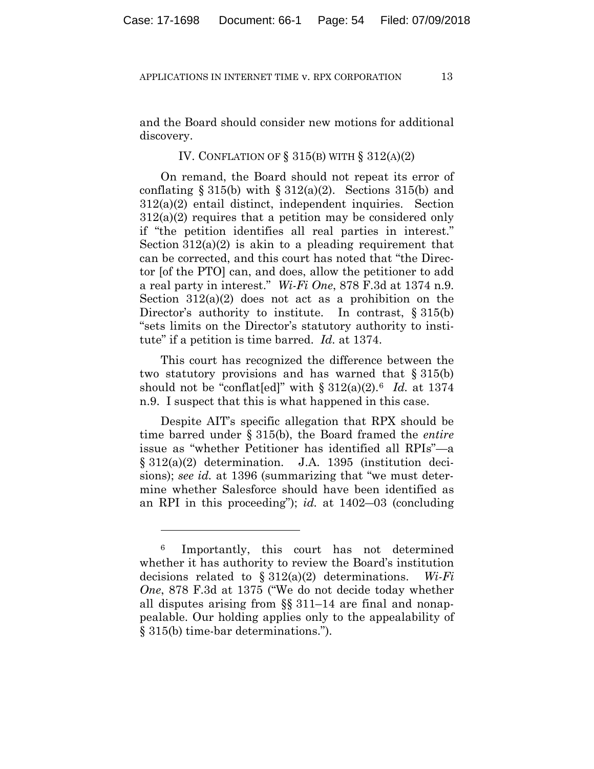and the Board should consider new motions for additional discovery.

## IV. CONFLATION OF  $\S 315(B)$  WITH  $\S 312(A)(2)$

On remand, the Board should not repeat its error of conflating  $\S 315(b)$  with  $\S 312(a)(2)$ . Sections 315(b) and 312(a)(2) entail distinct, independent inquiries. Section 312(a)(2) requires that a petition may be considered only if "the petition identifies all real parties in interest." Section  $312(a)(2)$  is akin to a pleading requirement that can be corrected, and this court has noted that "the Director [of the PTO] can, and does, allow the petitioner to add a real party in interest." *Wi-Fi One*, 878 F.3d at 1374 n.9. Section  $312(a)(2)$  does not act as a prohibition on the Director's authority to institute. In contrast, § 315(b) "sets limits on the Director's statutory authority to institute" if a petition is time barred. *Id.* at 1374.

This court has recognized the difference between the two statutory provisions and has warned that  $\S 315(b)$ should not be "conflat[ed]" with  $\S 312(a)(2)$ .<sup>6</sup> *Id.* at 1374 n.9. I suspect that this is what happened in this case.

Despite AIT's specific allegation that RPX should be time barred under § 315(b), the Board framed the *entire* issue as "whether Petitioner has identified all RPIs"—a § 312(a)(2) determination. J.A. 1395 (institution decisions); *see id.* at 1396 (summarizing that "we must determine whether Salesforce should have been identified as an RPI in this proceeding"); *id.* at 1402―03 (concluding

<u>.</u>

<sup>&</sup>lt;sup>6</sup> Importantly, this court has not determined whether it has authority to review the Board's institution decisions related to § 312(a)(2) determinations. *Wi-Fi One*, 878 F.3d at 1375 ("We do not decide today whether all disputes arising from §§ 311–14 are final and nonappealable. Our holding applies only to the appealability of § 315(b) time-bar determinations.").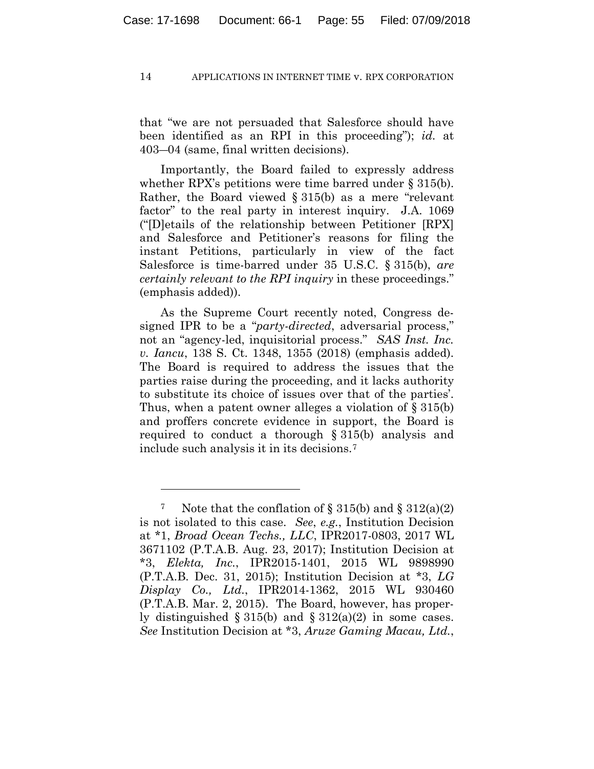that "we are not persuaded that Salesforce should have been identified as an RPI in this proceeding"); *id.* at 403―04 (same, final written decisions).

Importantly, the Board failed to expressly address whether RPX's petitions were time barred under  $\S 315(b)$ . Rather, the Board viewed § 315(b) as a mere "relevant factor" to the real party in interest inquiry. J.A. 1069 ("[D]etails of the relationship between Petitioner [RPX] and Salesforce and Petitioner's reasons for filing the instant Petitions, particularly in view of the fact Salesforce is time-barred under 35 U.S.C. § 315(b), *are certainly relevant to the RPI inquiry* in these proceedings." (emphasis added)).

As the Supreme Court recently noted, Congress designed IPR to be a "*party-directed*, adversarial process," not an "agency-led, inquisitorial process." *SAS Inst. Inc. v. Iancu*, 138 S. Ct. 1348, 1355 (2018) (emphasis added). The Board is required to address the issues that the parties raise during the proceeding, and it lacks authority to substitute its choice of issues over that of the parties'. Thus, when a patent owner alleges a violation of § 315(b) and proffers concrete evidence in support, the Board is required to conduct a thorough § 315(b) analysis and include such analysis it in its decisions.7

<u>.</u>

<sup>&</sup>lt;sup>7</sup> Note that the conflation of  $\S 315(b)$  and  $\S 312(a)(2)$ is not isolated to this case. *See*, *e.g.*, Institution Decision at \*1, *Broad Ocean Techs., LLC*, IPR2017-0803, 2017 WL 3671102 (P.T.A.B. Aug. 23, 2017); Institution Decision at \*3, *Elekta, Inc.*, IPR2015-1401, 2015 WL 9898990 (P.T.A.B. Dec. 31, 2015); Institution Decision at \*3, *LG Display Co., Ltd.*, IPR2014-1362, 2015 WL 930460 (P.T.A.B. Mar. 2, 2015). The Board, however, has properly distinguished  $\S 315(b)$  and  $\S 312(a)(2)$  in some cases. *See* Institution Decision at \*3, *Aruze Gaming Macau, Ltd.*,